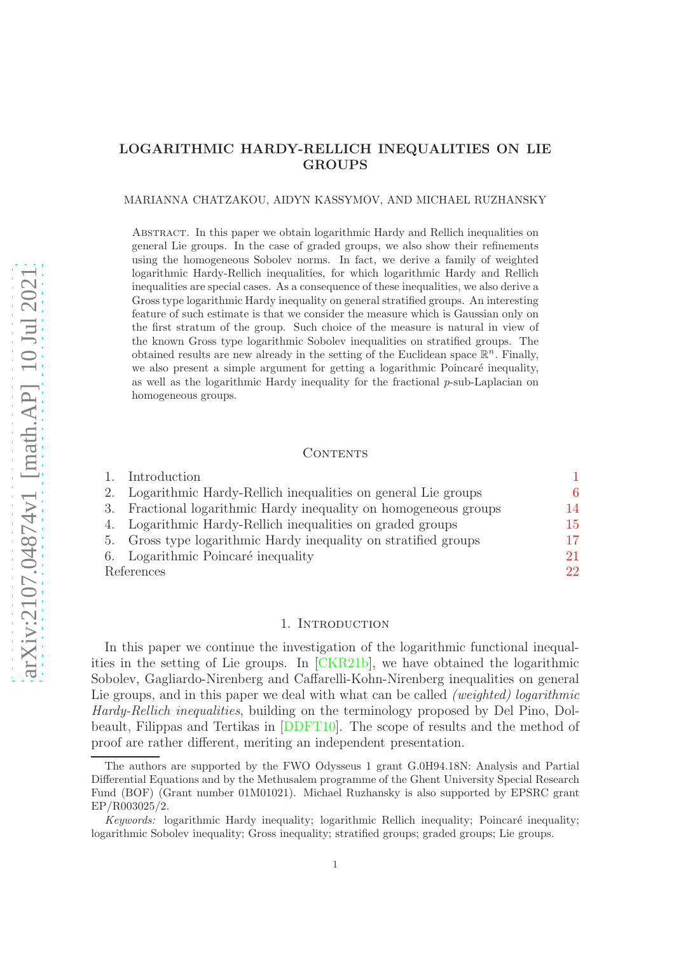# LOGARITHMIC HARDY-RELLICH INEQUALITIES ON LIE GROUPS

### MARIANNA CHATZAKOU, AIDYN KASSYMOV, AND MICHAEL RUZHANSKY

Abstract. In this paper we obtain logarithmic Hardy and Rellich inequalities on general Lie groups. In the case of graded groups, we also show their refinements using the homogeneous Sobolev norms. In fact, we derive a family of weighted logarithmic Hardy-Rellich inequalities, for which logarithmic Hardy and Rellich inequalities are special cases. As a consequence of these inequalities, we also derive a Gross type logarithmic Hardy inequality on general stratified groups. An interesting feature of such estimate is that we consider the measure which is Gaussian only on the first stratum of the group. Such choice of the measure is natural in view of the known Gross type logarithmic Sobolev inequalities on stratified groups. The obtained results are new already in the setting of the Euclidean space  $\mathbb{R}^n$ . Finally, we also present a simple argument for getting a logarithmic Poincaré inequality, as well as the logarithmic Hardy inequality for the fractional  $p$ -sub-Laplacian on homogeneous groups.

### CONTENTS

|            | Introduction                                                     |    |
|------------|------------------------------------------------------------------|----|
| 2.         | Logarithmic Hardy-Rellich inequalities on general Lie groups     | 6  |
|            | 3. Fractional logarithmic Hardy inequality on homogeneous groups | 14 |
|            | 4. Logarithmic Hardy-Rellich inequalities on graded groups       | 15 |
|            | 5. Gross type logarithmic Hardy inequality on stratified groups  | 17 |
|            | 6. Logarithmic Poincaré inequality                               | 21 |
| References |                                                                  | 22 |

### 1. INTRODUCTION

<span id="page-0-0"></span>In this paper we continue the investigation of the logarithmic functional inequalities in the setting of Lie groups. In [\[CKR21b\]](#page-21-1), we have obtained the logarithmic Sobolev, Gagliardo-Nirenberg and Caffarelli-Kohn-Nirenberg inequalities on general Lie groups, and in this paper we deal with what can be called *(weighted) logarithmic Hardy-Rellich inequalities*, building on the terminology proposed by Del Pino, Dolbeault, Filippas and Tertikas in [\[DDFT10\]](#page-21-2). The scope of results and the method of proof are rather different, meriting an independent presentation.

The authors are supported by the FWO Odysseus 1 grant G.0H94.18N: Analysis and Partial Differential Equations and by the Methusalem programme of the Ghent University Special Research Fund (BOF) (Grant number 01M01021). Michael Ruzhansky is also supported by EPSRC grant EP/R003025/2.

Keywords: logarithmic Hardy inequality; logarithmic Rellich inequality; Poincaré inequality; logarithmic Sobolev inequality; Gross inequality; stratified groups; graded groups; Lie groups.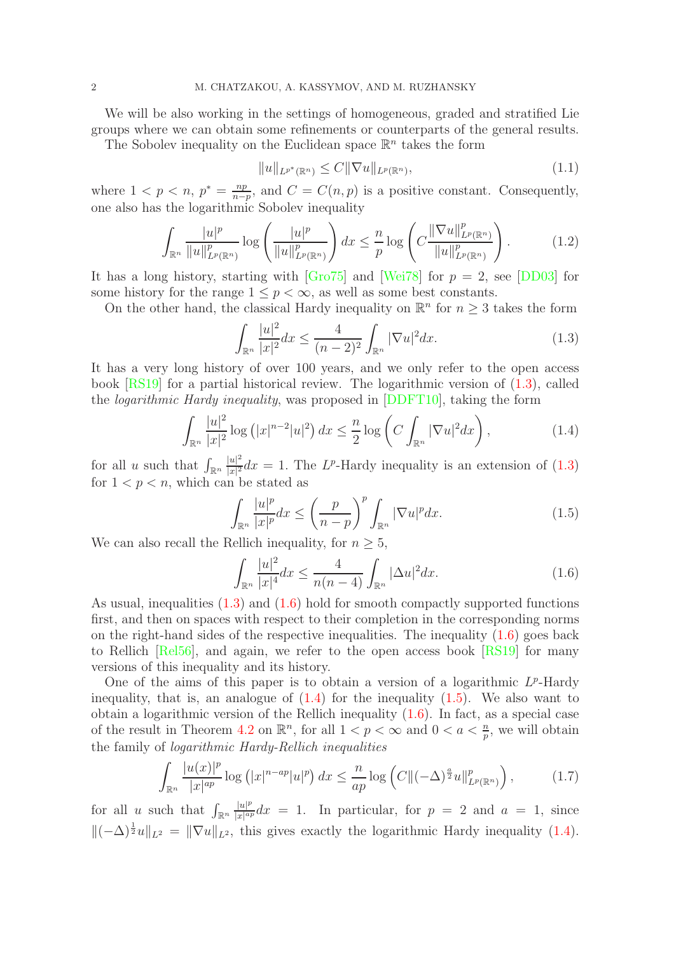We will be also working in the settings of homogeneous, graded and stratified Lie groups where we can obtain some refinements or counterparts of the general results.

The Sobolev inequality on the Euclidean space  $\mathbb{R}^n$  takes the form

$$
||u||_{L^{p^*}(\mathbb{R}^n)} \le C||\nabla u||_{L^p(\mathbb{R}^n)},\tag{1.1}
$$

where  $1 < p < n, p^* = \frac{np}{n-p}$  $\frac{np}{n-p}$ , and  $C = C(n, p)$  is a positive constant. Consequently, one also has the logarithmic Sobolev inequality

$$
\int_{\mathbb{R}^n} \frac{|u|^p}{\|u\|_{L^p(\mathbb{R}^n)}^p} \log \left(\frac{|u|^p}{\|u\|_{L^p(\mathbb{R}^n)}^p}\right) dx \leq \frac{n}{p} \log \left(C \frac{\|\nabla u\|_{L^p(\mathbb{R}^n)}^p}{\|u\|_{L^p(\mathbb{R}^n)}^p}\right).
$$
(1.2)

It has a long history, starting with  $\left[\frac{\text{G}r}{975}\right]$  and  $\left[\frac{\text{Wei78}}{978}\right]$  for  $p = 2$ , see  $\left[\text{DD03}\right]$  for some history for the range  $1 \leq p \leq \infty$ , as well as some best constants.

On the other hand, the classical Hardy inequality on  $\mathbb{R}^n$  for  $n \geq 3$  takes the form

<span id="page-1-0"></span>
$$
\int_{\mathbb{R}^n} \frac{|u|^2}{|x|^2} dx \le \frac{4}{(n-2)^2} \int_{\mathbb{R}^n} |\nabla u|^2 dx.
$$
 (1.3)

It has a very long history of over 100 years, and we only refer to the open access book [\[RS19\]](#page-22-2) for a partial historical review. The logarithmic version of [\(1.3\)](#page-1-0), called the *logarithmic Hardy inequality*, was proposed in [\[DDFT10\]](#page-21-2), taking the form

<span id="page-1-2"></span>
$$
\int_{\mathbb{R}^n} \frac{|u|^2}{|x|^2} \log\left(|x|^{n-2}|u|^2\right) dx \le \frac{n}{2} \log\left(C \int_{\mathbb{R}^n} |\nabla u|^2 dx\right),\tag{1.4}
$$

for all u such that  $\int_{\mathbb{R}^n}$  $|u|^2$  $\frac{|u|^2}{|x|^2}dx = 1$ . The L<sup>p</sup>-Hardy inequality is an extension of [\(1.3\)](#page-1-0) for  $1 < p < n$ , which can be stated as

<span id="page-1-3"></span>
$$
\int_{\mathbb{R}^n} \frac{|u|^p}{|x|^p} dx \le \left(\frac{p}{n-p}\right)^p \int_{\mathbb{R}^n} |\nabla u|^p dx.
$$
\n(1.5)

We can also recall the Rellich inequality, for  $n \geq 5$ ,

<span id="page-1-1"></span>
$$
\int_{\mathbb{R}^n} \frac{|u|^2}{|x|^4} dx \le \frac{4}{n(n-4)} \int_{\mathbb{R}^n} |\Delta u|^2 dx.
$$
 (1.6)

As usual, inequalities [\(1.3\)](#page-1-0) and [\(1.6\)](#page-1-1) hold for smooth compactly supported functions first, and then on spaces with respect to their completion in the corresponding norms on the right-hand sides of the respective inequalities. The inequality [\(1.6\)](#page-1-1) goes back to Rellich [\[Rel56\]](#page-22-3), and again, we refer to the open access book [\[RS19\]](#page-22-2) for many versions of this inequality and its history.

One of the aims of this paper is to obtain a version of a logarithmic  $L^p$ -Hardy inequality, that is, an analogue of  $(1.4)$  for the inequality  $(1.5)$ . We also want to obtain a logarithmic version of the Rellich inequality  $(1.6)$ . In fact, as a special case of the result in Theorem [4.2](#page-16-1) on  $\mathbb{R}^n$ , for all  $1 < p < \infty$  and  $0 < a < \frac{n}{p}$ , we will obtain the family of *logarithmic Hardy-Rellich inequalities*

<span id="page-1-4"></span>
$$
\int_{\mathbb{R}^n} \frac{|u(x)|^p}{|x|^{ap}} \log (|x|^{n-ap}|u|^p) \, dx \le \frac{n}{ap} \log \left( C \| (-\Delta)^{\frac{a}{2}} u \|_{L^p(\mathbb{R}^n)}^p \right),\tag{1.7}
$$

for all u such that  $\int_{\mathbb{R}^n}$  $|u|^p$  $\frac{|u|^p}{|x|^{ap}}dx = 1$ . In particular, for  $p = 2$  and  $a = 1$ , since  $\|(-\Delta)^{\frac{1}{2}}u\|_{L^2} = \|\nabla u\|_{L^2}$ , this gives exactly the logarithmic Hardy inequality [\(1.4\)](#page-1-2).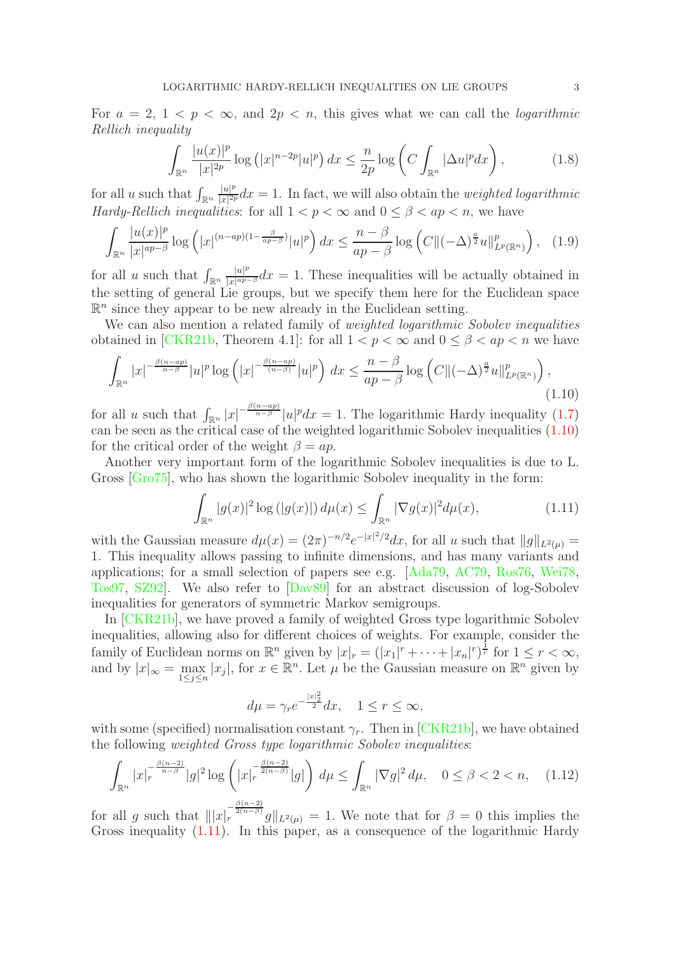For  $a = 2, 1 \lt p \lt \infty$ , and  $2p \lt n$ , this gives what we can call the *logarithmic Rellich inequality*

$$
\int_{\mathbb{R}^n} \frac{|u(x)|^p}{|x|^{2p}} \log\left(|x|^{n-2p}|u|^p\right) dx \le \frac{n}{2p} \log\left(C \int_{\mathbb{R}^n} |\Delta u|^p dx\right),\tag{1.8}
$$

for all u such that  $\int_{\mathbb{R}^n}$  $|u|^p$  $\frac{|u|^p}{|x|^{2p}}dx = 1$ . In fact, we will also obtain the *weighted logarithmic Hardy-Rellich inequalities*: for all  $1 < p < \infty$  and  $0 \le \beta < ap < n$ , we have

$$
\int_{\mathbb{R}^n} \frac{|u(x)|^p}{|x|^{ap-\beta}} \log\left(|x|^{(n-ap)(1-\frac{\beta}{ap-\beta})}|u|^p\right) dx \le \frac{n-\beta}{ap-\beta} \log\left(C\|(-\Delta)^{\frac{a}{2}}u\|_{L^p(\mathbb{R}^n)}^p\right), \quad (1.9)
$$

for all u such that  $\int_{\mathbb{R}^n}$  $|u|^p$  $\frac{|u|^p}{|x|^{ap-\beta}}dx = 1$ . These inequalities will be actually obtained in the setting of general Lie groups, but we specify them here for the Euclidean space  $\mathbb{R}^n$  since they appear to be new already in the Euclidean setting.

We can also mention a related family of *weighted logarithmic Sobolev inequalities* obtained in [\[CKR21b,](#page-21-1) Theorem 4.1]: for all  $1 < p < \infty$  and  $0 \le \beta < ap < n$  we have

<span id="page-2-0"></span>
$$
\int_{\mathbb{R}^n} |x|^{-\frac{\beta(n-ap)}{n-\beta}} |u|^p \log\left(|x|^{-\frac{\beta(n-ap)}{(n-\beta)}} |u|^p\right) dx \le \frac{n-\beta}{ap-\beta} \log\left(C\|(-\Delta)^{\frac{a}{2}} u\|_{L^p(\mathbb{R}^n)}^p\right),\tag{1.10}
$$

for all u such that  $\int_{\mathbb{R}^n} |x|^{-\frac{\beta(n-ap)}{n-\beta}} |u|^p dx = 1$ . The logarithmic Hardy inequality [\(1.7\)](#page-1-4) can be seen as the critical case of the weighted logarithmic Sobolev inequalities [\(1.10\)](#page-2-0) for the critical order of the weight  $\beta = ap$ .

Another very important form of the logarithmic Sobolev inequalities is due to L. Gross [\[Gro75\]](#page-22-0), who has shown the logarithmic Sobolev inequality in the form:

<span id="page-2-1"></span>
$$
\int_{\mathbb{R}^n} |g(x)|^2 \log\left(|g(x)|\right) d\mu(x) \le \int_{\mathbb{R}^n} |\nabla g(x)|^2 d\mu(x),\tag{1.11}
$$

with the Gaussian measure  $d\mu(x) = (2\pi)^{-n/2} e^{-|x|^2/2} dx$ , for all u such that  $||g||_{L^2(\mu)} =$ 1. This inequality allows passing to infinite dimensions, and has many variants and applications; for a small selection of papers see e.g. [\[Ada79,](#page-21-4) [AC79,](#page-21-5) [Ros76,](#page-22-4) [Wei78,](#page-22-1) [Tos97,](#page-22-5) [SZ92\]](#page-22-6). We also refer to [\[Dav89\]](#page-21-6) for an abstract discussion of log-Sobolev inequalities for generators of symmetric Markov semigroups.

In [\[CKR21b\]](#page-21-1), we have proved a family of weighted Gross type logarithmic Sobolev inequalities, allowing also for different choices of weights. For example, consider the family of Euclidean norms on  $\mathbb{R}^n$  given by  $|x|_r = (|x_1|^r + \cdots + |x_n|^r)^{\frac{1}{r}}$  for  $1 \le r < \infty$ , and by  $|x|_{\infty} = \max_{1 \leq j \leq n} |x_j|$ , for  $x \in \mathbb{R}^n$ . Let  $\mu$  be the Gaussian measure on  $\mathbb{R}^n$  given by

$$
d\mu = \gamma_r e^{-\frac{|x|_2^2}{2}} dx, \quad 1 \le r \le \infty,
$$

with some (specified) normalisation constant  $\gamma_r$ . Then in [\[CKR21b\]](#page-21-1), we have obtained the following *weighted Gross type logarithmic Sobolev inequalities*:

<span id="page-2-2"></span>
$$
\int_{\mathbb{R}^n} |x|_r^{-\frac{\beta(n-2)}{n-\beta}} |g|^2 \log \left( |x|_r^{-\frac{\beta(n-2)}{2(n-\beta)}} |g| \right) d\mu \le \int_{\mathbb{R}^n} |\nabla g|^2 d\mu, \quad 0 \le \beta < 2 < n, \quad (1.12)
$$

for all g such that  $||x|_r^{\frac{\beta(n-2)}{2(n-\beta)}}g||_{L^2(\mu)} = 1$ . We note that for  $\beta = 0$  this implies the Gross inequality [\(1.11\)](#page-2-1). In this paper, as a consequence of the logarithmic Hardy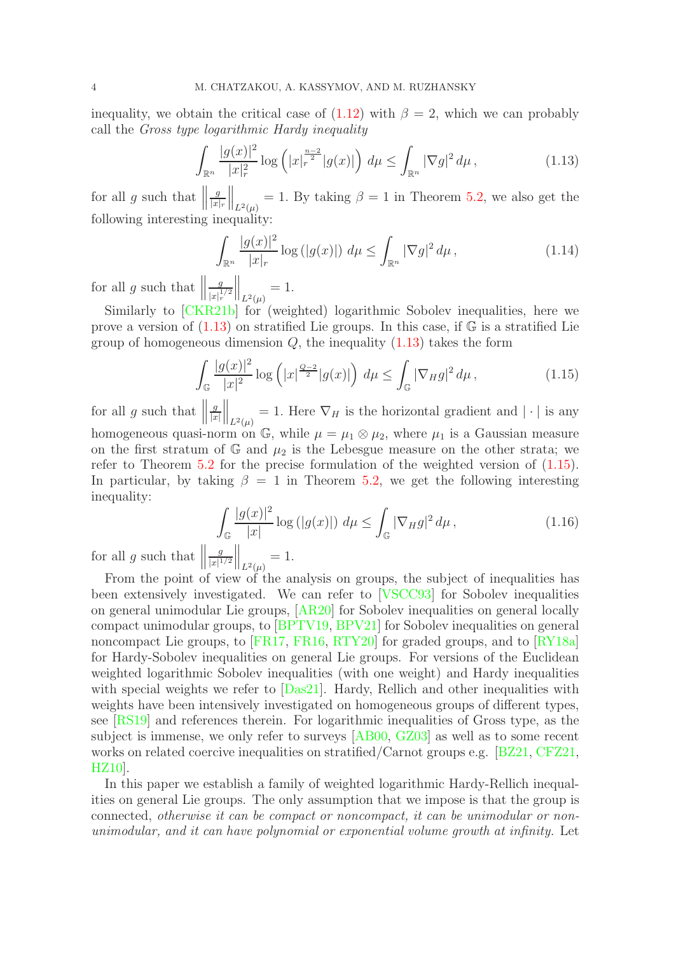inequality, we obtain the critical case of  $(1.12)$  with  $\beta = 2$ , which we can probably call the *Gross type logarithmic Hardy inequality*

<span id="page-3-0"></span>
$$
\int_{\mathbb{R}^n} \frac{|g(x)|^2}{|x|_r^2} \log\left(|x|_r^{\frac{n-2}{2}} |g(x)|\right) d\mu \le \int_{\mathbb{R}^n} |\nabla g|^2 d\mu, \tag{1.13}
$$

for all  $g$  such that  $\parallel$ g  $|x|_r$  $\Big\|_{L^2(\mu)} = 1$ . By taking  $\beta = 1$  in Theorem [5.2,](#page-17-0) we also get the following interesting inequality:

$$
\int_{\mathbb{R}^n} \frac{|g(x)|^2}{|x|_r} \log\left(|g(x)|\right) \, d\mu \le \int_{\mathbb{R}^n} |\nabla g|^2 \, d\mu \,,\tag{1.14}
$$

for all  $g$  such that  $\parallel$ g  $|x|_r^{1/2}$  $\Big\|_{L^2(\mu)} = 1.$ 

Similarly to [\[CKR21b\]](#page-21-1) for (weighted) logarithmic Sobolev inequalities, here we prove a version of  $(1.13)$  on stratified Lie groups. In this case, if  $\mathbb{G}$  is a stratified Lie group of homogeneous dimension  $Q$ , the inequality  $(1.13)$  takes the form

<span id="page-3-1"></span>
$$
\int_{\mathbb{G}} \frac{|g(x)|^2}{|x|^2} \log \left( |x|^{\frac{Q-2}{2}} |g(x)| \right) d\mu \le \int_{\mathbb{G}} |\nabla_H g|^2 d\mu, \tag{1.15}
$$

for all  $g$  such that  $\parallel$ g  $|x|$  $\Big\|_{L^2(\mu)} = 1$ . Here  $\nabla_H$  is the horizontal gradient and  $|\cdot|$  is any homogeneous quasi-norm on G, while  $\mu = \mu_1 \otimes \mu_2$ , where  $\mu_1$  is a Gaussian measure on the first stratum of  $\mathbb{G}$  and  $\mu_2$  is the Lebesgue measure on the other strata; we refer to Theorem [5.2](#page-17-0) for the precise formulation of the weighted version of [\(1.15\)](#page-3-1). In particular, by taking  $\beta = 1$  in Theorem [5.2,](#page-17-0) we get the following interesting inequality:

$$
\int_{\mathbb{G}} \frac{|g(x)|^2}{|x|} \log\left(|g(x)|\right) d\mu \le \int_{\mathbb{G}} |\nabla_H g|^2 d\mu,\tag{1.16}
$$

for all  $g$  such that  $\parallel$ g  $\frac{g}{|x|^{1/2}}\Big\|_{L^2(\mu)}=1.$ 

From the point of view of the analysis on groups, the subject of inequalities has been extensively investigated. We can refer to [\[VSCC93\]](#page-22-7) for Sobolev inequalities on general unimodular Lie groups, [\[AR20\]](#page-21-7) for Sobolev inequalities on general locally compact unimodular groups, to [\[BPTV19,](#page-21-8) [BPV21\]](#page-21-9) for Sobolev inequalities on general noncompact Lie groups, to [\[FR17,](#page-21-10) [FR16,](#page-22-8) [RTY20\]](#page-22-9) for graded groups, and to [\[RY18a\]](#page-22-10) for Hardy-Sobolev inequalities on general Lie groups. For versions of the Euclidean weighted logarithmic Sobolev inequalities (with one weight) and Hardy inequalities with special weights we refer to [\[Das21\]](#page-21-11). Hardy, Rellich and other inequalities with weights have been intensively investigated on homogeneous groups of different types, see [\[RS19\]](#page-22-2) and references therein. For logarithmic inequalities of Gross type, as the subject is immense, we only refer to surveys [\[AB00,](#page-21-12) [GZ03\]](#page-22-11) as well as to some recent works on related coercive inequalities on stratified/Carnot groups e.g. [\[BZ21,](#page-21-13) [CFZ21,](#page-21-14) [HZ10\]](#page-22-12).

In this paper we establish a family of weighted logarithmic Hardy-Rellich inequalities on general Lie groups. The only assumption that we impose is that the group is connected, *otherwise it can be compact or noncompact, it can be unimodular or nonunimodular, and it can have polynomial or exponential volume growth at infinity.* Let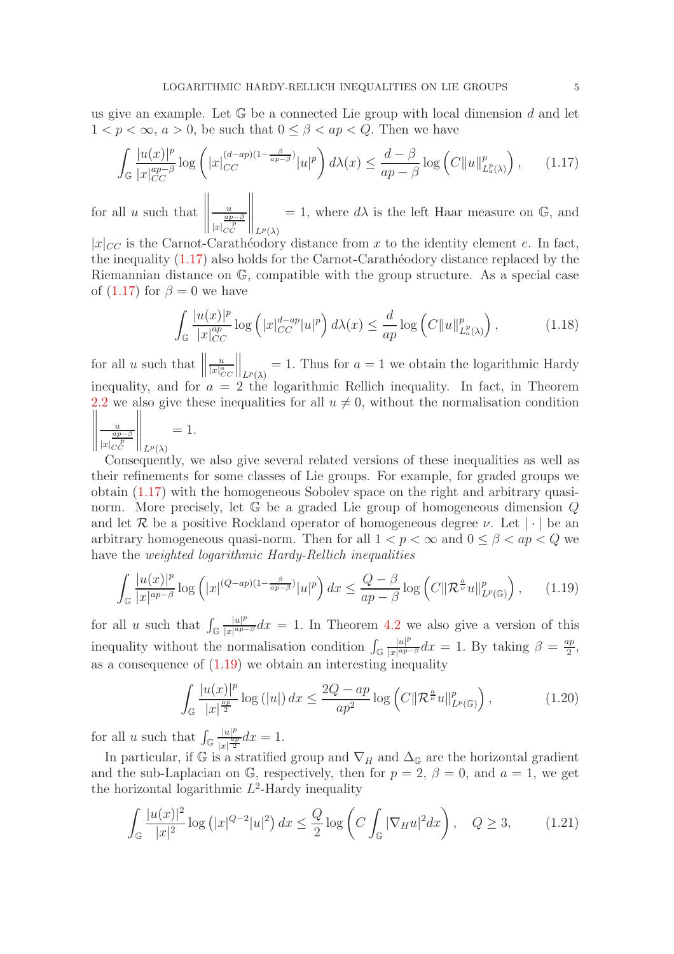us give an example. Let  $\mathbb G$  be a connected Lie group with local dimension  $d$  and let  $1 < p < \infty$ ,  $a > 0$ , be such that  $0 < \beta < ap < Q$ . Then we have

<span id="page-4-0"></span>
$$
\int_{\mathbb{G}} \frac{|u(x)|^p}{|x|_{CC}^{ap-\beta}} \log \left( |x|_{CC}^{(d-ap)(1-\frac{\beta}{ap-\beta})}|u|^p \right) d\lambda(x) \le \frac{d-\beta}{ap-\beta} \log \left( C \|u\|_{L^p_a(\lambda)}^p \right), \qquad (1.17)
$$

for all  $u$  such that u  $|x|$  $\frac{ap-\beta}{p}$  $\bigg\|_{L^p(\lambda)}$ = 1, where  $d\lambda$  is the left Haar measure on  $\mathbb{G}$ , and

 $|x|_{CC}$  is the Carnot-Caratheodory distance from x to the identity element e. In fact, the inequality  $(1.17)$  also holds for the Carnot-Carathéodory distance replaced by the Riemannian distance on G, compatible with the group structure. As a special case of  $(1.17)$  for  $\beta = 0$  we have

$$
\int_{\mathbb{G}} \frac{|u(x)|^p}{|x|_{CC}^{ap}} \log\left(|x|_{CC}^{d-ap}|u|^p\right) d\lambda(x) \le \frac{d}{ap} \log\left(C\|u\|_{L^p_a(\lambda)}^p\right),\tag{1.18}
$$

for all  $u$  such that  $\parallel$ u  $|x|_{CC}^a$  $\Big\|_{L^p(\lambda)} = 1$ . Thus for  $a = 1$  we obtain the logarithmic Hardy inequality, and for  $a = 2$  the logarithmic Rellich inequality. In fact, in Theorem [2.2](#page-7-0) we also give these inequalities for all  $u \neq 0$ , without the normalisation condition u  $|x|$  $\frac{ap-\beta}{p}$  $\Bigg\|_{L^p(\lambda)}$  $= 1$ .

Consequently, we also give several related versions of these inequalities as well as their refinements for some classes of Lie groups. For example, for graded groups we obtain [\(1.17\)](#page-4-0) with the homogeneous Sobolev space on the right and arbitrary quasinorm. More precisely, let  $\mathbb G$  be a graded Lie group of homogeneous dimension  $Q$ and let R be a positive Rockland operator of homogeneous degree  $\nu$ . Let  $|\cdot|$  be an arbitrary homogeneous quasi-norm. Then for all  $1 < p < \infty$  and  $0 < \beta < ap < Q$  we have the *weighted logarithmic Hardy-Rellich inequalities*

<span id="page-4-1"></span>
$$
\int_{\mathbb{G}} \frac{|u(x)|^p}{|x|^{ap-\beta}} \log\left(|x|^{(Q-ap)(1-\frac{\beta}{ap-\beta})}|u|^p\right) dx \le \frac{Q-\beta}{ap-\beta} \log\left(C\|\mathcal{R}^{\frac{a}{\nu}}u\|_{L^p(\mathbb{G})}^p\right),\tag{1.19}
$$

for all u such that  $\int_{\mathbb{G}}$  $|u|^p$  $\frac{|u|^p}{|x|^{ap-\beta}}dx = 1$ . In Theorem [4.2](#page-16-1) we also give a version of this inequality without the normalisation condition  $\int_{\mathbb{G}}$  $|u|^p$  $\frac{|u|^p}{|x|^{ap-\beta}}dx = 1$ . By taking  $\beta = \frac{ap}{2}$  $\frac{ip}{2}$ as a consequence of  $(1.19)$  we obtain an interesting inequality

$$
\int_{\mathbb{G}} \frac{|u(x)|^p}{|x|^{\frac{ap}{2}}} \log\left(|u|\right) dx \le \frac{2Q - ap}{ap^2} \log\left(C\|\mathcal{R}^{\frac{a}{\nu}}u\|_{L^p(\mathbb{G})}^p\right),\tag{1.20}
$$

for all u such that  $\int_{\mathbb{G}}$  $|u|^p$  $\frac{|u|^p}{|x|^{\frac{ap}{2}}}dx = 1.$ 

In particular, if G is a stratified group and  $\nabla_H$  and  $\Delta_{\mathbb{G}}$  are the horizontal gradient and the sub-Laplacian on G, respectively, then for  $p = 2$ ,  $\beta = 0$ , and  $a = 1$ , we get the horizontal logarithmic  $L^2$ -Hardy inequality

$$
\int_{\mathbb{G}} \frac{|u(x)|^2}{|x|^2} \log (|x|^{Q-2}|u|^2) \, dx \le \frac{Q}{2} \log \left( C \int_{\mathbb{G}} |\nabla_H u|^2 dx \right), \quad Q \ge 3, \tag{1.21}
$$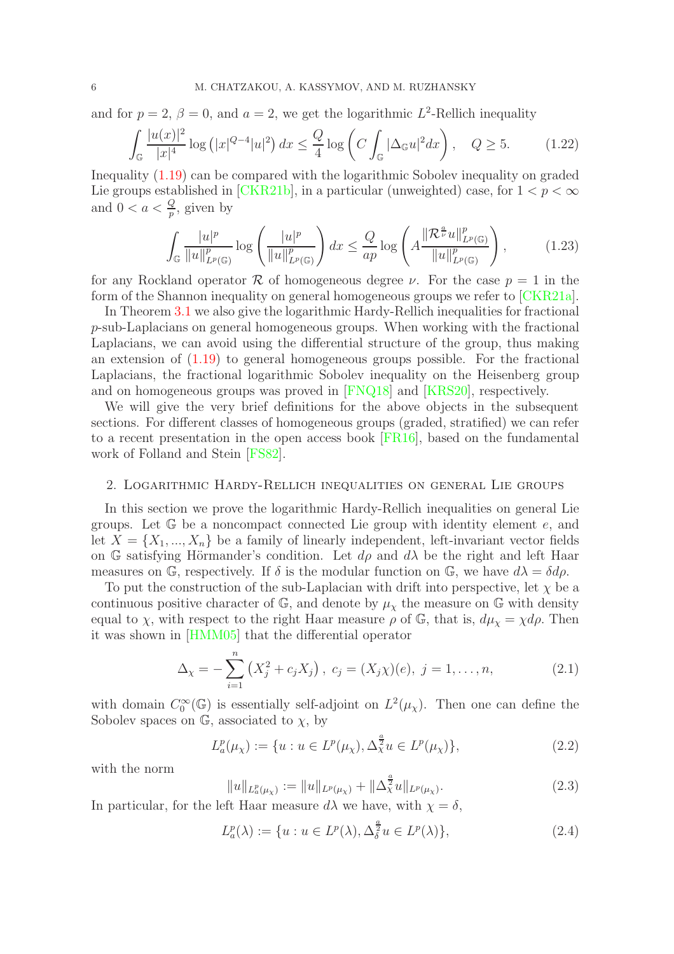and for  $p = 2$ ,  $\beta = 0$ , and  $a = 2$ , we get the logarithmic  $L^2$ -Rellich inequality

$$
\int_{\mathbb{G}} \frac{|u(x)|^2}{|x|^4} \log\left(|x|^{Q-4}|u|^2\right) dx \le \frac{Q}{4} \log\left(C \int_{\mathbb{G}} |\Delta_{\mathbb{G}} u|^2 dx\right), \quad Q \ge 5. \tag{1.22}
$$

Inequality [\(1.19\)](#page-4-1) can be compared with the logarithmic Sobolev inequality on graded Lie groups established in [\[CKR21b\]](#page-21-1), in a particular (unweighted) case, for  $1 < p < \infty$ and  $0 < a < \frac{Q}{p}$ , given by

$$
\int_{\mathbb{G}} \frac{|u|^p}{\|u\|_{L^p(\mathbb{G})}^p} \log \left(\frac{|u|^p}{\|u\|_{L^p(\mathbb{G})}^p}\right) dx \le \frac{Q}{ap} \log \left(A \frac{\|\mathcal{R}^{\frac{a}{\nu}} u\|_{L^p(\mathbb{G})}^p}{\|u\|_{L^p(\mathbb{G})}^p}\right),\tag{1.23}
$$

for any Rockland operator R of homogeneous degree  $\nu$ . For the case  $p = 1$  in the form of the Shannon inequality on general homogeneous groups we refer to [\[CKR21a\]](#page-21-15).

In Theorem [3.1](#page-14-1) we also give the logarithmic Hardy-Rellich inequalities for fractional p-sub-Laplacians on general homogeneous groups. When working with the fractional Laplacians, we can avoid using the differential structure of the group, thus making an extension of [\(1.19\)](#page-4-1) to general homogeneous groups possible. For the fractional Laplacians, the fractional logarithmic Sobolev inequality on the Heisenberg group and on homogeneous groups was proved in [\[FNQ18\]](#page-21-16) and [\[KRS20\]](#page-22-13), respectively.

We will give the very brief definitions for the above objects in the subsequent sections. For different classes of homogeneous groups (graded, stratified) we can refer to a recent presentation in the open access book [\[FR16\]](#page-22-8), based on the fundamental work of Folland and Stein [\[FS82\]](#page-22-14).

### <span id="page-5-0"></span>2. Logarithmic Hardy-Rellich inequalities on general Lie groups

In this section we prove the logarithmic Hardy-Rellich inequalities on general Lie groups. Let  $\mathbb{G}$  be a noncompact connected Lie group with identity element e, and let  $X = \{X_1, ..., X_n\}$  be a family of linearly independent, left-invariant vector fields on G satisfying Hörmander's condition. Let  $d\rho$  and  $d\lambda$  be the right and left Haar measures on G, respectively. If  $\delta$  is the modular function on G, we have  $d\lambda = \delta d\rho$ .

To put the construction of the sub-Laplacian with drift into perspective, let  $\chi$  be a continuous positive character of  $\mathbb{G}$ , and denote by  $\mu_{\chi}$  the measure on  $\mathbb{G}$  with density equal to  $\chi$ , with respect to the right Haar measure  $\rho$  of G, that is,  $d\mu_{\chi} = \chi d\rho$ . Then it was shown in [\[HMM05\]](#page-22-15) that the differential operator

$$
\Delta_{\chi} = -\sum_{i=1} \left( X_j^2 + c_j X_j \right), \ c_j = (X_j \chi)(e), \ j = 1, \dots, n,
$$
\n(2.1)

with domain  $C_0^{\infty}(\mathbb{G})$  is essentially self-adjoint on  $L^2(\mu_{\chi})$ . Then one can define the Sobolev spaces on  $\mathbb{G}$ , associated to  $\chi$ , by

$$
L_a^p(\mu_\chi) := \{ u : u \in L^p(\mu_\chi), \Delta_\chi^{\frac{a}{2}} u \in L^p(\mu_\chi) \},\tag{2.2}
$$

with the norm

$$
||u||_{L^{p}_{a}(\mu_{\chi})} := ||u||_{L^{p}(\mu_{\chi})} + ||\Delta^{\frac{a}{2}}_{\chi}u||_{L^{p}(\mu_{\chi})}.
$$
\n(2.3)

In particular, for the left Haar measure  $d\lambda$  we have, with  $\chi = \delta$ ,

 $\overline{n}$ 

$$
L_a^p(\lambda) := \{ u : u \in L^p(\lambda), \Delta_\delta^{\frac{a}{2}} u \in L^p(\lambda) \},\tag{2.4}
$$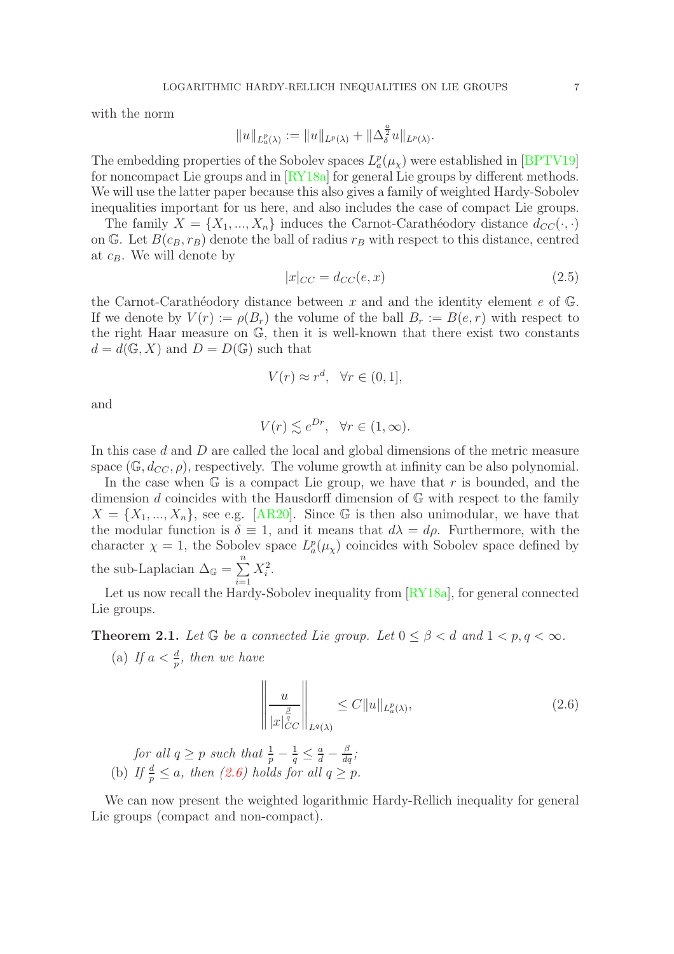with the norm

$$
||u||_{L_a^p(\lambda)} := ||u||_{L^p(\lambda)} + ||\Delta_{\delta}^{\frac{a}{2}}u||_{L^p(\lambda)}.
$$

The embedding properties of the Sobolev spaces  $L_a^p(\mu_\chi)$  were established in [\[BPTV19\]](#page-21-8) for noncompact Lie groups and in [\[RY18a\]](#page-22-10) for general Lie groups by different methods. We will use the latter paper because this also gives a family of weighted Hardy-Sobolev inequalities important for us here, and also includes the case of compact Lie groups.

The family  $X = \{X_1, ..., X_n\}$  induces the Carnot-Carathéodory distance  $d_{CC}(\cdot, \cdot)$ on G. Let  $B(c_B, r_B)$  denote the ball of radius  $r_B$  with respect to this distance, centred at  $c_B$ . We will denote by

$$
|x|_{CC} = d_{CC}(e, x) \tag{2.5}
$$

the Carnot-Carathéodory distance between x and and the identity element e of  $\mathbb{G}$ . If we denote by  $V(r) := \rho(B_r)$  the volume of the ball  $B_r := B(e, r)$  with respect to the right Haar measure on G, then it is well-known that there exist two constants  $d = d(\mathbb{G}, X)$  and  $D = D(\mathbb{G})$  such that

$$
V(r) \approx r^d, \quad \forall r \in (0, 1],
$$

and

$$
V(r) \lesssim e^{Dr}, \quad \forall r \in (1, \infty).
$$

In this case d and D are called the local and global dimensions of the metric measure space (G,  $d_{CC}$ ,  $\rho$ ), respectively. The volume growth at infinity can be also polynomial.

In the case when  $\mathbb{G}$  is a compact Lie group, we have that r is bounded, and the dimension d coincides with the Hausdorff dimension of  $\mathbb{G}$  with respect to the family  $X = \{X_1, ..., X_n\}$ , see e.g. [\[AR20\]](#page-21-7). Since G is then also unimodular, we have that the modular function is  $\delta \equiv 1$ , and it means that  $d\lambda = d\rho$ . Furthermore, with the character  $\chi = 1$ , the Sobolev space  $L_a^p(\mu_\chi)$  coincides with Sobolev space defined by the sub-Laplacian  $\Delta_{\mathbb{G}} = \sum_{n=1}^{n}$  $i=1$  $X_i^2$ .

Let us now recall the Hardy-Sobolev inequality from  $\left[\frac{RV18a}{RV18a}\right]$ , for general connected Lie groups.

<span id="page-6-1"></span>**Theorem 2.1.** Let  $\mathbb{G}$  be a connected Lie group. Let  $0 \leq \beta < d$  and  $1 < p, q < \infty$ .

(a) If  $a < \frac{d}{p}$ , then we have

<span id="page-6-0"></span>
$$
\left\| \frac{u}{|x|_{CC}^{\frac{\beta}{q}}|} \right\|_{L^{q}(\lambda)} \leq C \|u\|_{L^{p}_{a}(\lambda)},
$$
\n(2.6)

for all 
$$
q \ge p
$$
 such that  $\frac{1}{p} - \frac{1}{q} \le \frac{a}{d} - \frac{\beta}{dq}$ ;  
(b) If  $\frac{d}{p} \le a$ , then (2.6) holds for all  $q \ge p$ .

We can now present the weighted logarithmic Hardy-Rellich inequality for general Lie groups (compact and non-compact).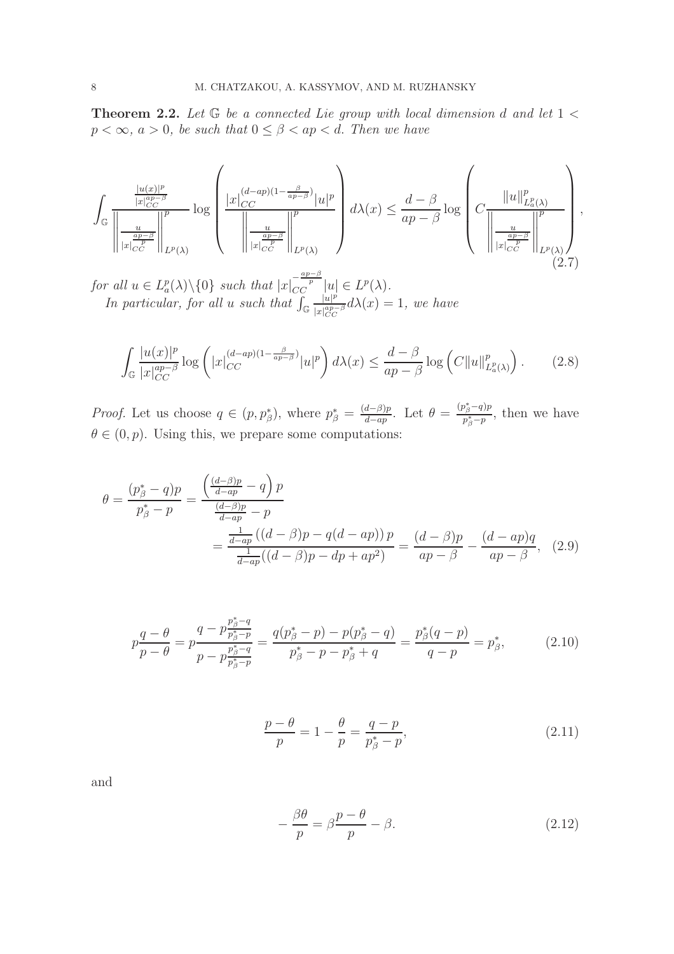<span id="page-7-0"></span>Theorem 2.2. *Let* G *be a connected Lie group with local dimension* d *and let* 1 <  $p < \infty$ ,  $a > 0$ , be such that  $0 \leq \beta < ap < d$ . Then we have

$$
\int_{\mathbb{G}} \frac{\frac{|u(x)|^p}{|x|_{CC}^{np-\beta}}}{\left\|\frac{u}{|x|_{CC}^p}\right\|_{L^p(\lambda)}^p} \log \left(\frac{|x|_{CC}^{(d-ap)(1-\frac{\beta}{ap-\beta})}|u|^p}{\left\|\frac{u}{|x|_{CC}^p}\right\|_{L^p(\lambda)}^p}\right) d\lambda(x) \leq \frac{d-\beta}{ap-\beta} \log \left(C\frac{\|u\|_{L^p(\lambda)}^p}{\left\|\frac{u}{|x|_{CC}^p}\right\|_{L^p(\lambda)}^p}\right),\tag{2.7}
$$

*for all*  $u \in L^p_a(\lambda) \setminus \{0\}$  *such that*  $|x|_{CC}^{-\frac{ap-\beta}{p}}|u| \in L^p(\lambda)$ . *In particular, for all u such that*  $\int_{\mathbb{G}}$  $|u|^p$  $\frac{|u|^p}{|x|_{CC}^{ap-\beta}}d\lambda(x)=1$ , we have

<span id="page-7-5"></span>
$$
\int_{\mathbb{G}} \frac{|u(x)|^p}{|x|_{CC}^{ap-\beta}} \log \left( |x|_{CC}^{(d-ap)(1-\frac{\beta}{ap-\beta})}|u|^p \right) d\lambda(x) \le \frac{d-\beta}{ap-\beta} \log \left( C \|u\|_{L^p_a(\lambda)}^p \right). \tag{2.8}
$$

*Proof.* Let us choose  $q \in (p, p^*_{\beta})$ , where  $p^*_{\beta} = \frac{(d-\beta)p}{d-ap}$  $\frac{d-\beta)p}{d-ap}$ . Let  $\theta = \frac{(p^*_{\beta}-q)p}{p^*_{\beta}-p}$  $\frac{\rho_{\beta}+q_{\beta}}{p_{\beta}^*-p}$ , then we have  $\theta \in (0, p)$ . Using this, we prepare some computations:

$$
\theta = \frac{(p_{\beta}^{*} - q)p}{p_{\beta}^{*} - p} = \frac{\left(\frac{(d-\beta)p}{d-ap} - q\right)p}{\frac{(d-\beta)p}{d-ap} - p} = \frac{\frac{1}{d-ap}((d-\beta)p - q(d-ap))p}{\frac{1}{d-ap}((d-\beta)p - dp + ap^{2})} = \frac{(d-\beta)p}{ap - \beta} - \frac{(d-ap)q}{ap - \beta}, \quad (2.9)
$$

<span id="page-7-3"></span>
$$
p\frac{q-\theta}{p-\theta} = p\frac{q-p\frac{p_{\beta}^* - q}{p_{\beta}^* - p}}{p-p\frac{p_{\beta}^* - q}{p_{\beta}^* - p}} = \frac{q(p_{\beta}^* - p) - p(p_{\beta}^* - q)}{p_{\beta}^* - p - p_{\beta}^* + q} = \frac{p_{\beta}^*(q-p)}{q-p} = p_{\beta}^*,
$$
\n(2.10)

<span id="page-7-4"></span><span id="page-7-1"></span>
$$
\frac{p-\theta}{p} = 1 - \frac{\theta}{p} = \frac{q-p}{p_{\beta}^* - p},\tag{2.11}
$$

and

<span id="page-7-2"></span>
$$
-\frac{\beta\theta}{p} = \beta\frac{p-\theta}{p} - \beta.
$$
\n(2.12)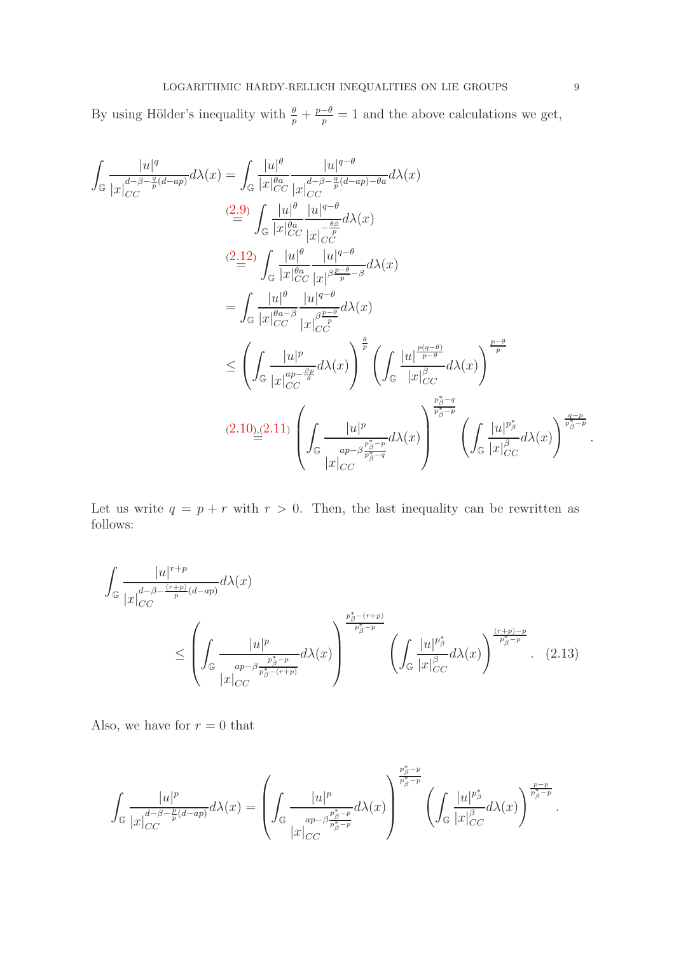By using Hölder's inequality with  $\frac{\theta}{p} + \frac{p-\theta}{p} = 1$  and the above calculations we get,

$$
\int_{\mathbb{G}} \frac{|u|^q}{|x|_{CC}^{d-\beta-\frac{q}{p}(d-ap)}} d\lambda(x) = \int_{\mathbb{G}} \frac{|u|^{\theta}}{|x|_{CC}^{\theta}} \frac{|u|^{q-\theta}}{|x|_{CC}^{d-\beta-\frac{q}{p}(d-ap)-\theta a}} d\lambda(x)
$$
\n
$$
(2.9) \int_{\mathbb{G}} \frac{|u|^{\theta}}{|x|_{CC}^{\theta}} \frac{|u|^{q-\theta}}{|x|_{CC}^{d-\frac{q\beta}{p}}} d\lambda(x)
$$
\n
$$
(2.12) \int_{\mathbb{G}} \frac{|u|^{\theta}}{|x|_{CC}^{\theta}} \frac{|u|^{q-\theta}}{|x|_{PC}^{\beta-\frac{q}{p}-\beta}} d\lambda(x)
$$
\n
$$
= \int_{\mathbb{G}} \frac{|u|^{\theta}}{|x|_{CC}^{\theta-a-\beta}} \frac{|u|^{q-\theta}}{|x|_{CC}^{\beta-\frac{q}{p}}} d\lambda(x)
$$
\n
$$
\leq \left(\int_{\mathbb{G}} \frac{|u|^p}{|x|_{CC}^{\theta-p}} d\lambda(x)\right)^{\frac{\theta}{p}} \left(\int_{\mathbb{G}} \frac{|u|^{\frac{p(q-\theta)}{p-\theta}}}{|x|_{CC}^{\beta-\frac{\theta}{p}}} d\lambda(x)\right)^{\frac{p-\theta}{p}}
$$
\n
$$
(2.10) \underline{.} (2.11) \left(\int_{\mathbb{G}} \frac{|u|^p}{|x|_{CC}^{\theta-p-\frac{\beta}{p}}}\right) d\lambda(x)\right)^{\frac{p\delta-q}{p\delta-q}}
$$
\n
$$
|x|_{CC}^{\beta-\frac{q}{p\delta-q}} d\lambda(x)
$$

Let us write  $q = p + r$  with  $r > 0$ . Then, the last inequality can be rewritten as follows:

$$
\int_{\mathbb{G}} \frac{|u|^{r+p}}{|x|_{CC}^{d-\beta-\frac{(r+p)}{p}(d-ap)}d\lambda(x)} d\lambda(x)
$$
\n
$$
\leq \left(\int_{\mathbb{G}} \frac{|u|^{p}}{|x|_{CC}^{ap-\beta\frac{p_{\beta}^{*}-p}{p_{\beta}^{*}-r+p}}d\lambda(x)}\right)^{\frac{p_{\beta}^{*}-r+p}{p_{\beta}^{*}-p}} \left(\int_{\mathbb{G}} \frac{|u|^{p_{\beta}^{*}}}{|x|_{CC}^{p}}d\lambda(x)\right)^{\frac{(r+p)-p}{p_{\beta}^{*}-p}}.
$$
\n(2.13)

Also, we have for  $r = 0$  that

$$
\int_{\mathbb{G}}\frac{|u|^{p}}{|x|_{CC}^{d-\beta-\frac{p}{p}(d-ap)} }d\lambda(x)=\left(\int_{\mathbb{G}}\frac{|u|^{p}}{|x|_{CC}^{p_{\beta}^{\ast}-p}}d\lambda(x)\right)^{\frac{p_{\beta}^{\ast}-p}{p_{\beta}^{\ast}-p}}\left(\int_{\mathbb{G}}\frac{|u|^{p_{\beta}^{\ast}}}{|x|_{CC}^{\beta}}d\lambda(x)\right)^{\frac{p-p}{p_{\beta}^{\ast}-p}}.
$$

<span id="page-8-0"></span>.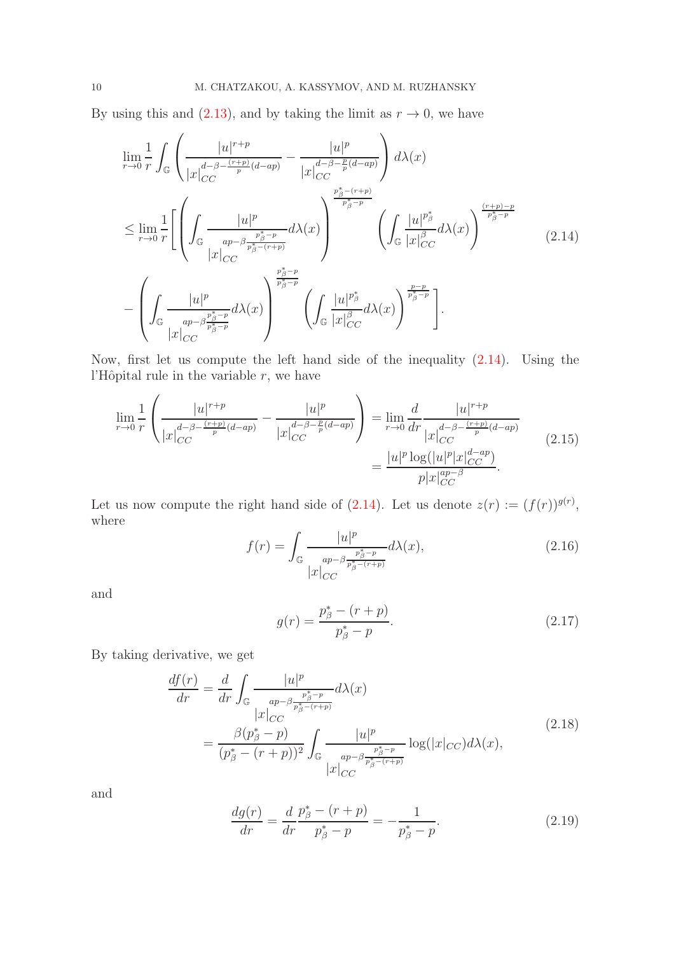By using this and [\(2.13\)](#page-8-0), and by taking the limit as  $r \to 0$ , we have

<span id="page-9-0"></span>
$$
\lim_{r\to 0} \frac{1}{r} \int_{\mathbb{G}} \left( \frac{|u|^{r+p}}{|x|_{CC}^{d-\beta-\frac{(r+p)}{p}(d-ap)}} - \frac{|u|^p}{|x|_{CC}^{d-\beta-\frac{p}{p}(d-ap)}} \right) d\lambda(x)
$$
\n
$$
\leq \lim_{r\to 0} \frac{1}{r} \left[ \left( \int_{\mathbb{G}} \frac{|u|^p}{\frac{ap-\beta\frac{p^*_\beta-p}{p^*_\beta-p}}{|x|_{CC}^{p^*_\beta-(r+p)}}} d\lambda(x) \right)^{\frac{p^*_\beta-(r+p)}{p^*_\beta-p}} \left( \int_{\mathbb{G}} \frac{|u|^{p^*_\beta}}{|x|_{CC}^{p^*_\beta}} d\lambda(x) \right)^{\frac{(r+p)-p}{p^*_\beta-p}} (2.14)
$$
\n
$$
- \left( \int_{\mathbb{G}} \frac{|u|^p}{|x|_{CC}^{ap-\beta\frac{p^*_\beta-p}{p^*_\beta-p}}} d\lambda(x) \right)^{\frac{p^*_\beta-p}{p^*_\beta-p}} \left( \int_{\mathbb{G}} \frac{|u|^{p^*_\beta}}{|x|_{CC}^{p^*_\beta}} d\lambda(x) \right)^{\frac{p-p}{p^*_\beta-p}} \right].
$$

Now, first let us compute the left hand side of the inequality [\(2.14\)](#page-9-0). Using the l'Hôpital rule in the variable  $r$ , we have

<span id="page-9-3"></span>
$$
\lim_{r \to 0} \frac{1}{r} \left( \frac{|u|^{r+p}}{|x|_{CC}^{d-\beta - \frac{(r+p)}{p}(d-ap)}} - \frac{|u|^p}{|x|_{CC}^{d-\beta - \frac{p}{p}(d-ap)}} \right) = \lim_{r \to 0} \frac{d}{dr} \frac{|u|^{r+p}}{|x|_{CC}^{d-\beta - \frac{(r+p)}{p}(d-ap)}}{|x|_{CC}^{d-\beta - \frac{(r+p)}{p}(d-ap)}} = \frac{|u|^p \log(|u|^p |x|_{CC}^{d-ap})}{p |x|_{CC}^{ap-\beta}}.
$$
\n(2.15)

Let us now compute the right hand side of  $(2.14)$ . Let us denote  $z(r) := (f(r))^{g(r)}$ , where

$$
f(r) = \int_{\mathbb{G}} \frac{|u|^p}{\frac{ap - \beta \frac{p^*_{\beta} - p}{p^*_{\beta} - (r+p)}}{|x|_{CC}}} d\lambda(x),\tag{2.16}
$$

and

$$
g(r) = \frac{p_{\beta}^* - (r+p)}{p_{\beta}^* - p}.
$$
\n(2.17)

By taking derivative, we get

$$
\frac{df(r)}{dr} = \frac{d}{dr} \int_{\mathbb{G}} \frac{|u|^p}{\frac{ap - \beta \frac{p_{\beta}^* - p}{p_{\beta}^* - (r+p)}}{|x|_{CC}}} d\lambda(x)
$$
\n
$$
= \frac{\beta (p_{\beta}^* - p)}{(p_{\beta}^* - (r+p))^2} \int_{\mathbb{G}} \frac{|u|^p}{\frac{ap - \beta \frac{p_{\beta}^* - p}{p_{\beta}^* - (r+p)}}{|x|_{CC}} \log(|x|_{CC}) d\lambda(x),
$$
\n(2.18)

<span id="page-9-1"></span>and

<span id="page-9-2"></span>
$$
\frac{dg(r)}{dr} = \frac{d}{dr}\frac{p_{\beta}^{*} - (r+p)}{p_{\beta}^{*} - p} = -\frac{1}{p_{\beta}^{*} - p}.
$$
\n(2.19)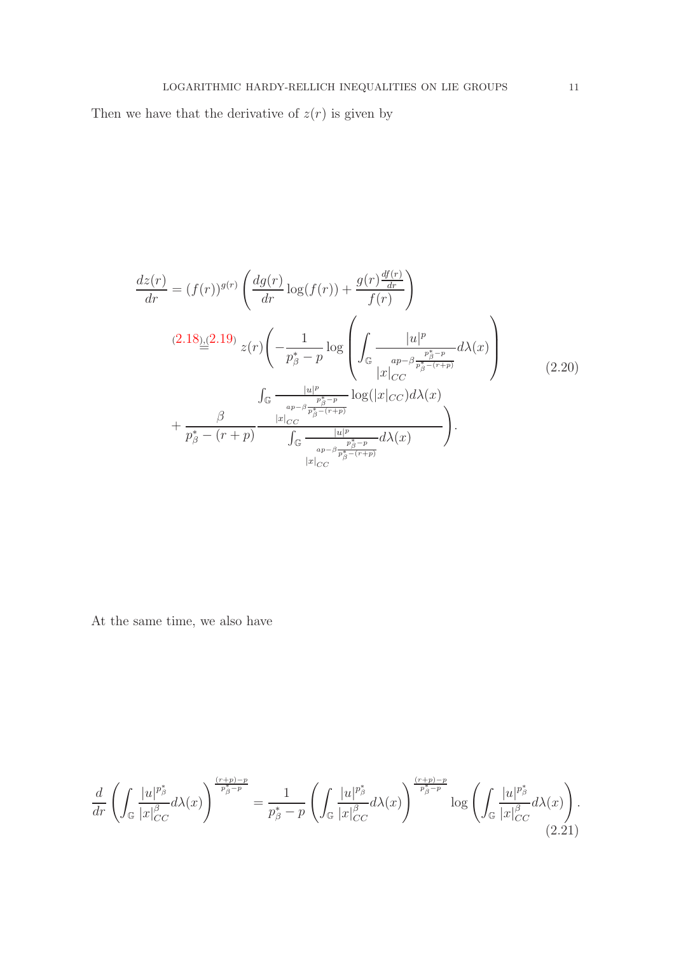Then we have that the derivative of  $z(\boldsymbol{r})$  is given by

<span id="page-10-0"></span>
$$
\frac{dz(r)}{dr} = (f(r))^{g(r)} \left( \frac{dg(r)}{dr} \log(f(r)) + \frac{g(r)\frac{df(r)}{dr}}{f(r)} \right)
$$
\n
$$
(2.18)_{\frac{1}{\infty}} (2.19) \ z(r) \left( -\frac{1}{p_{\beta}^{*} - p} \log \left( \int_{\mathbb{G}} \frac{|u|^{p}}{|x|_{CC}^{p_{\beta}^{*} - p}} d\lambda(x) \right) \right)
$$
\n
$$
\int_{\mathbb{G}} \frac{|u|^{p}}{|x|_{CC}^{p_{\beta}^{*} - (r+p)}} \log(|x|_{CC}) d\lambda(x)
$$
\n
$$
+ \frac{\beta}{p_{\beta}^{*} - (r+p)} \frac{|x|_{CC}^{r}}{\int_{\mathbb{G}} \frac{|u|^{p}}{|x|_{CC}^{p_{\beta}^{*} - (r+p)}} d\lambda(x)} \right). \tag{2.20}
$$

At the same time, we also have

<span id="page-10-1"></span>
$$
\frac{d}{dr}\left(\int_{\mathbb{G}}\frac{|u|^{p_{\beta}^*}}{|x|_{CC}^{\beta}}d\lambda(x)\right)^{\frac{(r+p)-p}{p_{\beta}^*-p}}=\frac{1}{p_{\beta}^*-p}\left(\int_{\mathbb{G}}\frac{|u|^{p_{\beta}^*}}{|x|_{CC}^{\beta}}d\lambda(x)\right)^{\frac{(r+p)-p}{p_{\beta}^*-p}}\log\left(\int_{\mathbb{G}}\frac{|u|^{p_{\beta}^*}}{|x|_{CC}^{\beta}}d\lambda(x)\right).
$$
\n(2.21)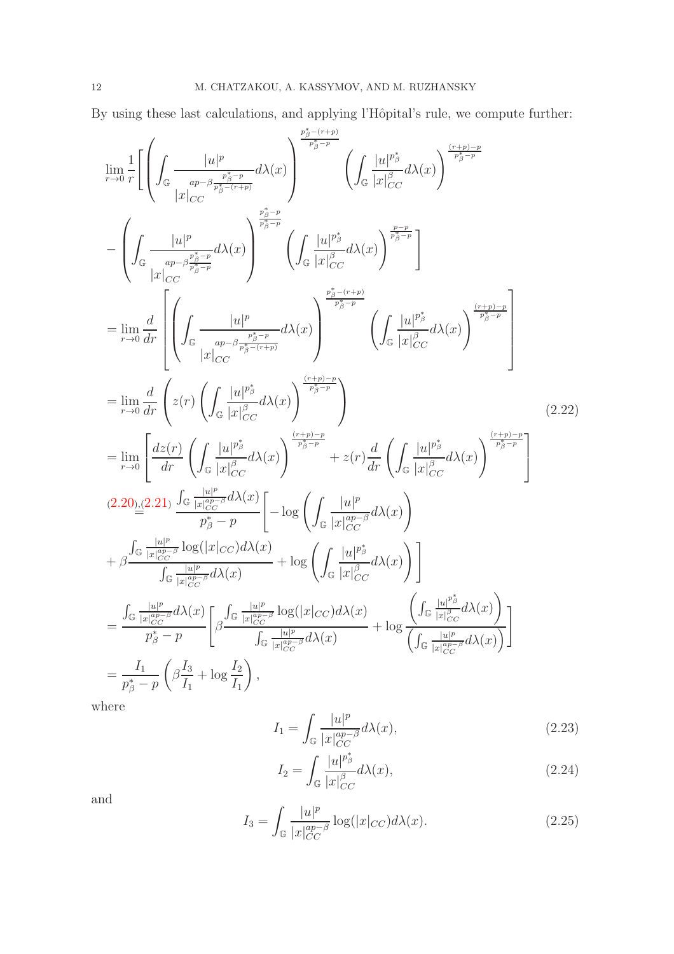By using these last calculations, and applying l'Hôpital's rule, we compute further:  $\,$ 

$$
\lim_{r\to 0} \frac{1}{r} \left[ \left( \int_{\mathbb{G}} \frac{|u|^p}{\frac{ap - \beta \frac{p^2}{p^2_{\beta}-r}}{|x|_{CC}}}\right) \frac{\frac{p^2_{\beta}-(r+p)}{p^2_{\beta}-p}}{\frac{p^2_{\beta}-p}{p^2_{\beta}-r}} \left( \int_{\mathbb{G}} \frac{|u|^{p^2}_{\beta}}{|x|_{CC}^{\beta}} d\lambda(x) \right)^{\frac{(r+p)-p}{p^2_{\beta}-p}} \right. \\ - \left( \int_{\mathbb{G}} \frac{|u|^p}{\frac{ap - \beta \frac{p^2}{p^2_{\beta}-p}}{|x|_{CC}}}\right) \left( \int_{\mathbb{G}} \frac{|u|^{p^2}_{\beta}}{|x|_{CC}^{\beta}} d\lambda(x) \right)^{\frac{p-2}{p^2_{\beta}-p}} \right] \n= \lim_{r\to 0} \frac{d}{dr} \left[ \left( \int_{\mathbb{G}} \frac{|u|^p}{\frac{ap - \beta \frac{p^2}{p^2_{\beta}-r}}{|x|_{CC}}}\right) \left( \int_{\mathbb{G}} \frac{|u|^{p^2_{\beta}}}{|x|_{CC}^{\beta}}\right) \left( \int_{\mathbb{G}} \frac{|u|^{p^2_{\beta}}}{|x|_{CC}^{\beta}}\right) \frac{\frac{(r+p)-p}{p^2_{\beta}-p}}{\frac{(r+p)-p}{p^2_{\beta}-p}} \right] \n= \lim_{r\to 0} \frac{d}{dr} \left( z(r) \left( \int_{\mathbb{G}} \frac{|u|^{p^2}_{\beta}}{|x|_{CC}^{\beta}}\right) \left( \int_{\mathbb{G}} \frac{|u|^{p^2}_{\beta}}{|x|_{CC}^{\beta}}\right) \left( \int_{\mathbb{G}} \frac{|u|^{p^2}_{\beta}}{|x|_{CC}^{\beta}}\right) \left( \int_{\mathbb{G}} \frac{|u|^{p^2}_{\beta}}{|x|_{CC}^{\beta}}\right) \right] \n= \lim_{r\to 0} \frac{d}{dr} \left( z(r) \left( \int_{\mathbb{G}} \frac{|u|^{p^2}_{\beta}}{|x|_{CC}^{\beta}}\right) \left( \lambda(x) \right)^{\frac{(r+p)-p}{p^2_{\beta}-p
$$

where

$$
I_1 = \int_{\mathbb{G}} \frac{|u|^p}{|x|_{CC}^{ap-\beta}} d\lambda(x),\tag{2.23}
$$

$$
I_2 = \int_{\mathbb{G}} \frac{|u|^{p^*_{\beta}}}{|x|_{CC}^{\beta}} d\lambda(x),\tag{2.24}
$$

and

$$
I_3 = \int_{\mathbb{G}} \frac{|u|^p}{|x|_{CC}^{ap-\beta}} \log(|x|_{CC}) d\lambda(x). \tag{2.25}
$$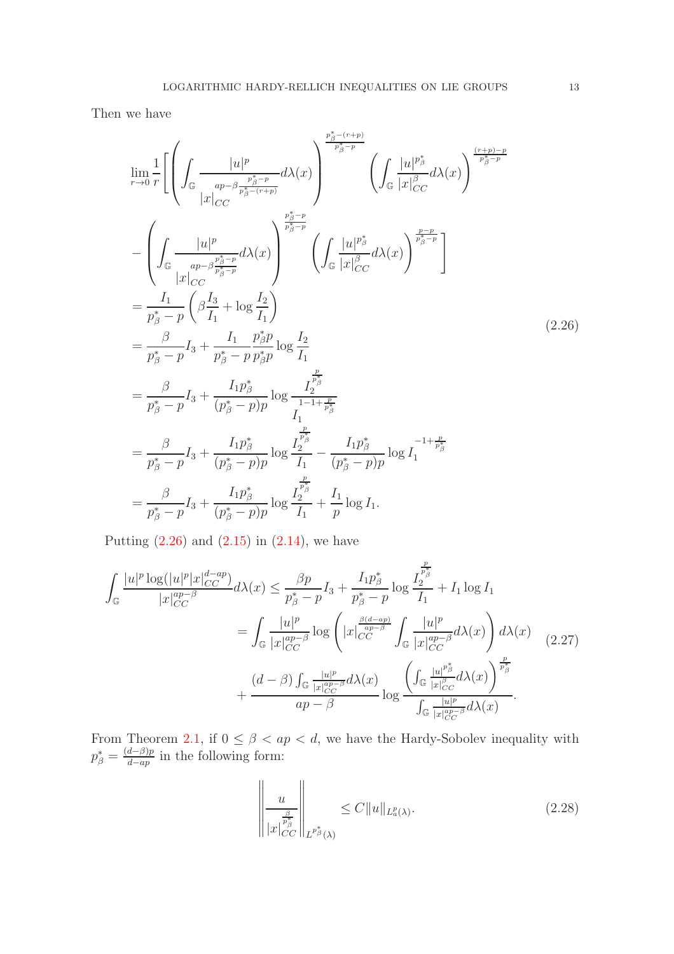Then we have

<span id="page-12-0"></span>
$$
\lim_{r \to 0} \frac{1}{r} \left[ \left( \int_{\mathbb{G}} \frac{|u|^p}{\frac{ap - \beta \frac{p_{\beta}^* - (r+p)}{p_{\beta}^* - p}}{|\mathcal{X}|_{CC}}} d\lambda(x) \right)^{\frac{p_{\beta}^* - (r+p)}{p_{\beta}^* - p}} \left( \int_{\mathbb{G}} \frac{|u|^{p_{\beta}^*}}{|x|_{CC}^{|\mathcal{O}|}} d\lambda(x) \right)^{\frac{(r+p)-p}{p_{\beta}^* - p}} \right] \n- \left( \int_{\mathbb{G}} \frac{|u|^p}{\frac{ap - \beta \frac{p_{\beta}^* - p}{p_{\beta}^* - p}}{|\mathcal{X}|_{CC}}} d\lambda(x) \right)^{\frac{p_{\beta}^* - p}{p_{\beta}^* - p}} \left( \int_{\mathbb{G}} \frac{|u|^{p_{\beta}^*}}{|x|_{CC}^{|\mathcal{O}|}} d\lambda(x) \right)^{\frac{p-p}{p_{\beta}^* - p}} \right] \n= \frac{I_1}{p_{\beta}^* - p} \left( \beta \frac{I_3}{I_1} + \log \frac{I_2}{I_1} \right) \n= \frac{\beta}{p_{\beta}^* - p} I_3 + \frac{I_1}{p_{\beta}^* - p} \frac{p_{\beta}^* p}{p_{\beta}^* p}} \log \frac{I_2}{I_1} \n= \frac{\beta}{p_{\beta}^* - p} I_3 + \frac{I_1 p_{\beta}^*}{(p_{\beta}^* - p)p} \log \frac{I_2^{\frac{p}{p_{\beta}^*}}}{I_1} - \frac{I_1 p_{\beta}^*}{(p_{\beta}^* - p)p} \log I_1^{-1 + \frac{p}{p_{\beta}^*}} \n= \frac{\beta}{p_{\beta}^* - p} I_3 + \frac{I_1 p_{\beta}^*}{(p_{\beta}^* - p)p} \log \frac{I_2^{\frac{p}{p_{\beta}^*}}}{I_1} + \frac{I_1}{p} \log I_1.
$$
\n(2.26)

Putting  $(2.26)$  and  $(2.15)$  in  $(2.14)$ , we have

<span id="page-12-1"></span>
$$
\int_{\mathbb{G}} \frac{|u|^p \log(|u|^p |x|_{CC}^{d-ap})}{|x|_{CC}^{ap-\beta}} d\lambda(x) \le \frac{\beta p}{p_{\beta}^* - p} I_3 + \frac{I_1 p_{\beta}^*}{p_{\beta}^* - p} \log \frac{I_2^{\frac{p}{p_{\beta}^*}}}{I_1} + I_1 \log I_1
$$
\n
$$
= \int_{\mathbb{G}} \frac{|u|^p}{|x|_{CC}^{ap-\beta}} \log \left( |x|_{CC}^{\frac{\beta(d-ap)}{ap-\beta}} \int_{\mathbb{G}} \frac{|u|^p}{|x|_{CC}^{ap-\beta}} d\lambda(x) \right) d\lambda(x) + \frac{(d-\beta) \int_{\mathbb{G}} \frac{|u|^p}{|x|_{CC}^{ap-\beta}} d\lambda(x)}{ap - \beta} \log \frac{\left( \int_{\mathbb{G}} \frac{|u|^{p_{\beta}^*}}{|x|_{CC}^{p_{\beta}^*}} d\lambda(x) \right)^{\frac{p}{p_{\beta}^*}}}{\int_{\mathbb{G}} \frac{|u|^p}{|x|_{CC}^{ap-\beta}} d\lambda(x)} \cdot (2.27)
$$

From Theorem [2.1,](#page-6-1) if  $0 \leq \beta < ap < d$ , we have the Hardy-Sobolev inequality with  $p^*_{\beta} = \frac{(d-\beta)p}{d-ap}$  $\frac{a-p}{d-ap}$  in the following form:

$$
\left\| \frac{u}{|x|_{CC}^{\frac{\beta}{p_{\beta}^*}}|} \right\|_{L^{p_{\beta}^*}(\lambda)} \leq C \|u\|_{L^{p}_{a}(\lambda)}.
$$
\n(2.28)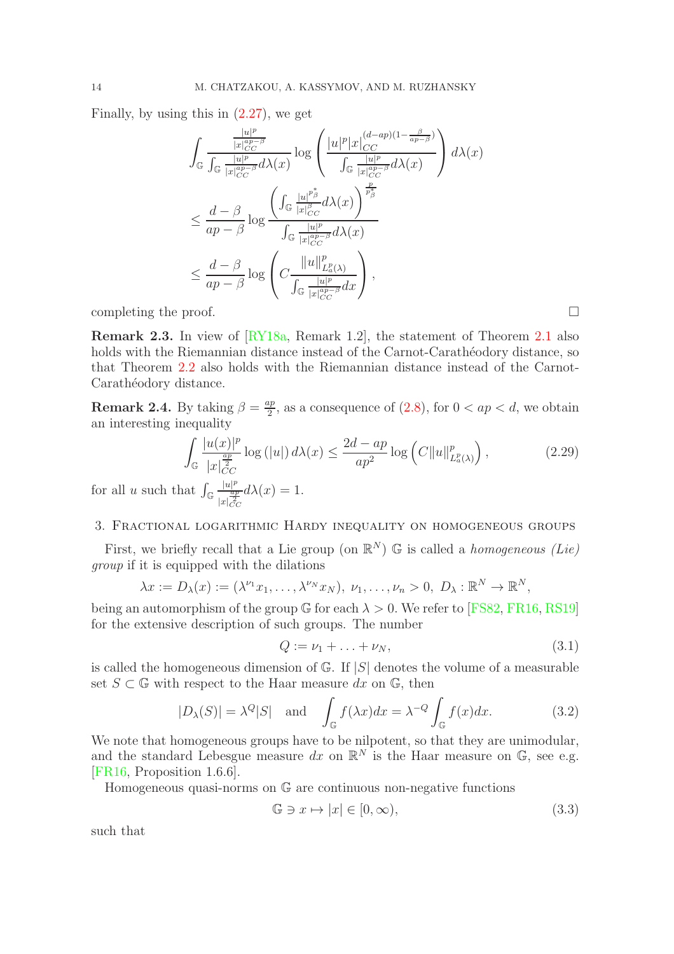Finally, by using this in  $(2.27)$ , we get

$$
\int_{\mathbb{G}} \frac{\frac{|u|^p}{|x|_{CC}^{ap-\beta}}}{\int_{\mathbb{G}} \frac{|u|^p}{|x|_{CC}^{ap-\beta}} d\lambda(x)} \log \left( \frac{|u|^p |x|_{CC}^{(d-ap)(1-\frac{\beta}{ap-\beta})}}{\int_{\mathbb{G}} \frac{|u|^p}{|x|_{CC}^{ap-\beta}} d\lambda(x)} \right) d\lambda(x)
$$
\n
$$
\leq \frac{d-\beta}{ap-\beta} \log \frac{\left( \int_{\mathbb{G}} \frac{|u|^{p^*_\beta}}{|x|_{CC}^{β}} d\lambda(x) \right)^{\frac{p}{p^*_\beta}}}{\int_{\mathbb{G}} \frac{|u|^p}{|x|_{CC}^{ap-\beta}} d\lambda(x)}
$$
\n
$$
\leq \frac{d-\beta}{ap-\beta} \log \left( C \frac{||u||_{L_a^p(\lambda)}^p}{\int_{\mathbb{G}} \frac{|u|^p}{|x|_{CC}^{ap-\beta}} dx} \right),
$$

completing the proof.  $\square$ 

Remark 2.3. In view of [\[RY18a,](#page-22-10) Remark 1.2], the statement of Theorem [2.1](#page-6-1) also holds with the Riemannian distance instead of the Carnot-Carathéodory distance, so that Theorem [2.2](#page-7-0) also holds with the Riemannian distance instead of the Carnot-Carathéodory distance.

**Remark 2.4.** By taking  $\beta = \frac{ap}{2}$  $\frac{2p}{2}$ , as a consequence of  $(2.8)$ , for  $0 < ap < d$ , we obtain an interesting inequality

$$
\int_{\mathbb{G}} \frac{|u(x)|^p}{|x|_{CC}^{\frac{ap}{2}}} \log\left(|u|\right) d\lambda(x) \le \frac{2d - ap}{ap^2} \log\left(C\|u\|_{L^p_a(\lambda)}^p\right),\tag{2.29}
$$

for all u such that  $\int_{\mathbb{G}}$  $|u|^p$  $|x|_{CC}^{\frac{ap}{2}}$  $d\lambda(x) = 1.$ 

## <span id="page-13-0"></span>3. Fractional logarithmic Hardy inequality on homogeneous groups

First, we briefly recall that a Lie group (on  $\mathbb{R}^N$ ) G is called a *homogeneous (Lie) group* if it is equipped with the dilations

$$
\lambda x := D_{\lambda}(x) := (\lambda^{\nu_1} x_1, \dots, \lambda^{\nu_N} x_N), \ \nu_1, \dots, \nu_n > 0, \ D_{\lambda} : \mathbb{R}^N \to \mathbb{R}^N,
$$

being an automorphism of the group  $\mathbb{G}$  for each  $\lambda > 0$ . We refer to [\[FS82,](#page-22-14) [FR16,](#page-22-8) [RS19\]](#page-22-2) for the extensive description of such groups. The number

$$
Q := \nu_1 + \ldots + \nu_N,\tag{3.1}
$$

is called the homogeneous dimension of  $\mathbb{G}$ . If  $|S|$  denotes the volume of a measurable set  $S \subset \mathbb{G}$  with respect to the Haar measure dx on  $\mathbb{G}$ , then

$$
|D_{\lambda}(S)| = \lambda^{Q}|S| \text{ and } \int_{\mathbb{G}} f(\lambda x)dx = \lambda^{-Q} \int_{\mathbb{G}} f(x)dx. \quad (3.2)
$$

We note that homogeneous groups have to be nilpotent, so that they are unimodular, and the standard Lebesgue measure dx on  $\mathbb{R}^N$  is the Haar measure on  $\mathbb{G}$ , see e.g. [\[FR16,](#page-22-8) Proposition 1.6.6].

Homogeneous quasi-norms on  $\mathbb G$  are continuous non-negative functions

$$
\mathbb{G} \ni x \mapsto |x| \in [0, \infty),\tag{3.3}
$$

such that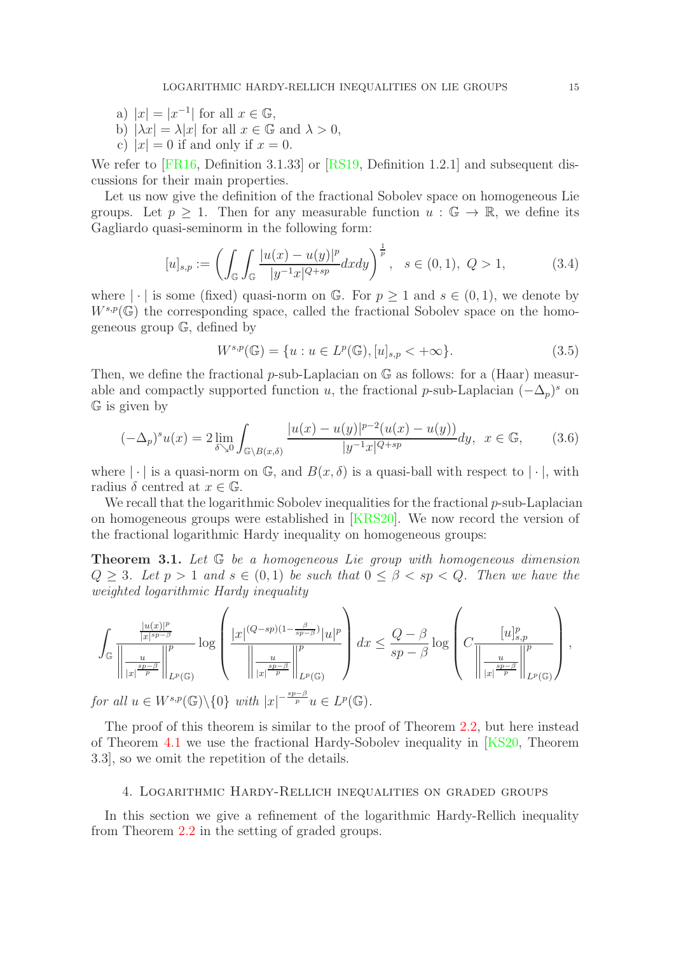- a)  $|x| = |x^{-1}|$  for all  $x \in \mathbb{G}$ ,
- b)  $|\lambda x| = \lambda |x|$  for all  $x \in \mathbb{G}$  and  $\lambda > 0$ ,
- c)  $|x| = 0$  if and only if  $x = 0$ .

We refer to [\[FR16,](#page-22-8) Definition 3.1.33] or [\[RS19,](#page-22-2) Definition 1.2.1] and subsequent discussions for their main properties.

Let us now give the definition of the fractional Sobolev space on homogeneous Lie groups. Let  $p \geq 1$ . Then for any measurable function  $u : \mathbb{G} \to \mathbb{R}$ , we define its Gagliardo quasi-seminorm in the following form:

$$
[u]_{s,p} := \left( \int_{\mathbb{G}} \int_{\mathbb{G}} \frac{|u(x) - u(y)|^p}{|y^{-1}x|^{Q+sp}} dx dy \right)^{\frac{1}{p}}, \quad s \in (0,1), \ Q > 1,
$$
 (3.4)

where  $|\cdot|$  is some (fixed) quasi-norm on G. For  $p \geq 1$  and  $s \in (0,1)$ , we denote by  $W^{s,p}(\mathbb{G})$  the corresponding space, called the fractional Sobolev space on the homogeneous group G, defined by

$$
W^{s,p}(\mathbb{G}) = \{ u : u \in L^p(\mathbb{G}), [u]_{s,p} < +\infty \}. \tag{3.5}
$$

Then, we define the fractional  $p$ -sub-Laplacian on  $\mathbb G$  as follows: for a (Haar) measurable and compactly supported function u, the fractional p-sub-Laplacian  $(-\Delta_p)^s$  on G is given by

$$
(-\Delta_p)^s u(x) = 2 \lim_{\delta \searrow 0} \int_{\mathbb{G} \backslash B(x,\delta)} \frac{|u(x) - u(y)|^{p-2} (u(x) - u(y))}{|y^{-1}x|^{Q+sp}} dy, \ \ x \in \mathbb{G}, \qquad (3.6)
$$

where  $|\cdot|$  is a quasi-norm on G, and  $B(x, \delta)$  is a quasi-ball with respect to  $|\cdot|$ , with radius  $\delta$  centred at  $x \in \mathbb{G}$ .

We recall that the logarithmic Sobolev inequalities for the fractional  $p$ -sub-Laplacian on homogeneous groups were established in [\[KRS20\]](#page-22-13). We now record the version of the fractional logarithmic Hardy inequality on homogeneous groups:

<span id="page-14-1"></span>Theorem 3.1. *Let* G *be a homogeneous Lie group with homogeneous dimension*  $Q \geq 3$ *. Let*  $p > 1$  *and*  $s \in (0,1)$  *be such that*  $0 \leq \beta < sp < Q$ *. Then we have the weighted logarithmic Hardy inequality*

$$
\int_{\mathbb{G}} \frac{\frac{|u(x)|^p}{|x|^{sp-\beta}}}{\left\|\frac{u}{|x|^{\frac{sp-\beta}{p}}}\right\|_{L^p(\mathbb{G})}^p} \log \left(\frac{|x|^{(Q-sp)(1-\frac{\beta}{sp-\beta})}|u|^p}{\left\|\frac{u}{|x|^{\frac{sp-\beta}{p}}}\right\|_{L^p(\mathbb{G})}^p}\right) dx \leq \frac{Q-\beta}{sp-\beta} \log \left(C\frac{[u]_{s,p}^p}{\left\|\frac{u}{|x|^{\frac{sp-\beta}{p}}}\right\|_{L^p(\mathbb{G})}^p}\right),
$$
  
for all  $u \in W^{s,p}(\mathbb{G}) \setminus \{0\}$  with  $|x|^{-\frac{sp-\beta}{p}} u \in L^p(\mathbb{G}).$ 

The proof of this theorem is similar to the proof of Theorem [2.2,](#page-7-0) but here instead of Theorem [4.1](#page-15-0) we use the fractional Hardy-Sobolev inequality in [\[KS20,](#page-22-16) Theorem 3.3], so we omit the repetition of the details.

### <span id="page-14-0"></span>4. Logarithmic Hardy-Rellich inequalities on graded groups

In this section we give a refinement of the logarithmic Hardy-Rellich inequality from Theorem [2.2](#page-7-0) in the setting of graded groups.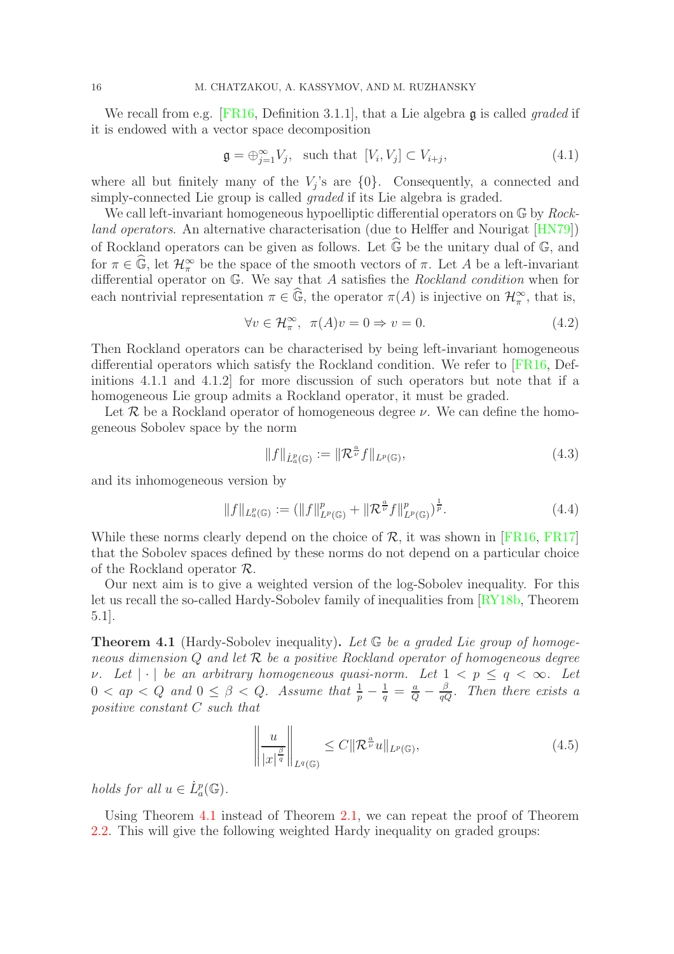We recall from e.g. [\[FR16,](#page-22-8) Definition 3.1.1], that a Lie algebra g is called *graded* if it is endowed with a vector space decomposition

$$
\mathfrak{g} = \bigoplus_{j=1}^{\infty} V_j, \quad \text{such that } [V_i, V_j] \subset V_{i+j}, \tag{4.1}
$$

where all but finitely many of the  $V_j$ 's are  $\{0\}$ . Consequently, a connected and simply-connected Lie group is called *graded* if its Lie algebra is graded.

We call left-invariant homogeneous hypoelliptic differential operators on G by *Rockland operators*. An alternative characterisation (due to Helffer and Nourigat [\[HN79\]](#page-22-17)) of Rockland operators can be given as follows. Let  $\widehat{\mathbb{G}}$  be the unitary dual of  $\mathbb{G}$ , and for  $\pi \in \widehat{\mathbb{G}}$ , let  $\mathcal{H}_{\pi}^{\infty}$  be the space of the smooth vectors of  $\pi$ . Let A be a left-invariant differential operator on G. We say that A satisfies the *Rockland condition* when for each nontrivial representation  $\pi \in \widehat{\mathbb{G}}$ , the operator  $\pi(A)$  is injective on  $\mathcal{H}_{\pi}^{\infty}$ , that is,

$$
\forall v \in \mathcal{H}_\pi^\infty, \ \pi(A)v = 0 \Rightarrow v = 0. \tag{4.2}
$$

Then Rockland operators can be characterised by being left-invariant homogeneous differential operators which satisfy the Rockland condition. We refer to [\[FR16,](#page-22-8) Definitions 4.1.1 and 4.1.2] for more discussion of such operators but note that if a homogeneous Lie group admits a Rockland operator, it must be graded.

Let  $\mathcal R$  be a Rockland operator of homogeneous degree  $\nu$ . We can define the homogeneous Sobolev space by the norm

$$
||f||_{\dot{L}^p_a(\mathbb{G})} := ||\mathcal{R}^{\frac{a}{\nu}} f||_{L^p(\mathbb{G})},\tag{4.3}
$$

and its inhomogeneous version by

$$
||f||_{L^p_a(\mathbb{G})} := (||f||^p_{L^p(\mathbb{G})} + ||\mathcal{R}^{\frac{a}{\nu}}f||^p_{L^p(\mathbb{G})})^{\frac{1}{p}}.
$$
\n(4.4)

While these norms clearly depend on the choice of  $\mathcal{R}$ , it was shown in [\[FR16,](#page-22-8) [FR17\]](#page-21-10) that the Sobolev spaces defined by these norms do not depend on a particular choice of the Rockland operator R.

Our next aim is to give a weighted version of the log-Sobolev inequality. For this let us recall the so-called Hardy-Sobolev family of inequalities from [\[RY18b,](#page-22-18) Theorem 5.1].

<span id="page-15-0"></span>Theorem 4.1 (Hardy-Sobolev inequality). *Let* G *be a graded Lie group of homogeneous dimension* Q *and let* R *be a positive Rockland operator of homogeneous degree v.* Let  $|\cdot|$  be an arbitrary homogeneous quasi-norm. Let  $1 < p \le q < \infty$ . Let  $0 < ap < Q$  and  $0 \leq \beta < Q$ . Assume that  $\frac{1}{p} - \frac{1}{q} = \frac{a}{Q} - \frac{\beta}{qQ}$ . Then there exists a *positive constant* C *such that*

$$
\left\| \frac{u}{|x|^{\frac{\beta}{q}}} \right\|_{L^q(\mathbb{G})} \leq C \| \mathcal{R}^{\frac{a}{\nu}} u \|_{L^p(\mathbb{G})}, \tag{4.5}
$$

*holds for all*  $u \in L_a^p(\mathbb{G})$ .

Using Theorem [4.1](#page-15-0) instead of Theorem [2.1,](#page-6-1) we can repeat the proof of Theorem [2.2.](#page-7-0) This will give the following weighted Hardy inequality on graded groups: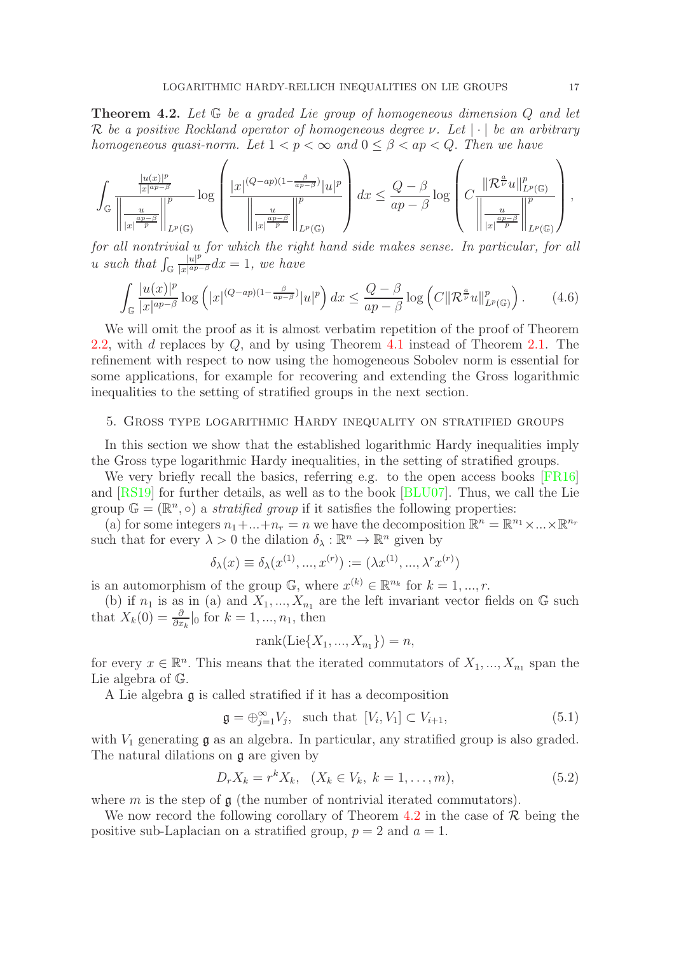<span id="page-16-1"></span>Theorem 4.2. *Let* G *be a graded Lie group of homogeneous dimension* Q *and let* R *be a positive Rockland operator of homogeneous degree* ν*. Let* | · | *be an arbitrary homogeneous quasi-norm.* Let  $1 < p < \infty$  and  $0 < \beta < ap < Q$ . Then we have

$$
\int_{\mathbb{G}}\frac{\frac{|u(x)|^{p}}{|x|^{ap-\beta}}}{\left\|\frac{u}{|x|}\frac{p}{p}\right\|_{L^{p}(\mathbb{G})}}\log\left(\frac{|x|^{(Q-ap)(1-\frac{\beta}{ap-\beta})}|u|^{p}}{\left\|\frac{u}{|x|}\frac{ap-\beta}{p}\right\|_{L^{p}(\mathbb{G})}}\right)dx\leq \frac{Q-\beta}{ap-\beta}\log\left(C\frac{\left\|\mathcal{R}^{\frac{a}{\nu}}u\right\|_{L^{p}(\mathbb{G})}^{p}}{\left\|\frac{u}{|x|}\frac{ap-\beta}{p}\right\|_{L^{p}(\mathbb{G})}}\right),
$$

*for all nontrivial* u *for which the right hand side makes sense. In particular, for all*  $u \text{ such that } \int_{\mathbb{G}}$  $|u|^p$  $\frac{|u|^p}{|x|^{ap-\beta}}dx=1$ , we have

$$
\int_{\mathbb{G}} \frac{|u(x)|^p}{|x|^{ap-\beta}} \log\left(|x|^{(Q-ap)(1-\frac{\beta}{ap-\beta})}|u|^p\right) dx \le \frac{Q-\beta}{ap-\beta} \log\left(C\|\mathcal{R}^{\frac{a}{\nu}}u\|_{L^p(\mathbb{G})}^p\right). \tag{4.6}
$$

We will omit the proof as it is almost verbatim repetition of the proof of Theorem [2.2,](#page-7-0) with d replaces by Q, and by using Theorem [4.1](#page-15-0) instead of Theorem [2.1.](#page-6-1) The refinement with respect to now using the homogeneous Sobolev norm is essential for some applications, for example for recovering and extending the Gross logarithmic inequalities to the setting of stratified groups in the next section.

### <span id="page-16-0"></span>5. Gross type logarithmic Hardy inequality on stratified groups

In this section we show that the established logarithmic Hardy inequalities imply the Gross type logarithmic Hardy inequalities, in the setting of stratified groups.

We very briefly recall the basics, referring e.g. to the open access books [\[FR16\]](#page-22-8) and [\[RS19\]](#page-22-2) for further details, as well as to the book [\[BLU07\]](#page-21-17). Thus, we call the Lie group  $\mathbb{G} = (\mathbb{R}^n, \circ)$  a *stratified group* if it satisfies the following properties:

(a) for some integers  $n_1 + ... + n_r = n$  we have the decomposition  $\mathbb{R}^n = \mathbb{R}^{n_1} \times ... \times \mathbb{R}^{n_r}$ such that for every  $\lambda > 0$  the dilation  $\delta_{\lambda}: \mathbb{R}^n \to \mathbb{R}^n$  given by

$$
\delta_{\lambda}(x) \equiv \delta_{\lambda}(x^{(1)}, ..., x^{(r)}) := (\lambda x^{(1)}, ..., \lambda^r x^{(r)})
$$

is an automorphism of the group  $\mathbb{G}$ , where  $x^{(k)} \in \mathbb{R}^{n_k}$  for  $k = 1, ..., r$ .

(b) if  $n_1$  is as in (a) and  $X_1, ..., X_{n_1}$  are the left invariant vector fields on  $\mathbb G$  such that  $X_k(0) = \frac{\partial}{\partial x_k} \vert_0$  for  $k = 1, ..., n_1$ , then

$$
rank(Lie\{X_1, ..., X_{n_1}\}) = n,
$$

for every  $x \in \mathbb{R}^n$ . This means that the iterated commutators of  $X_1, ..., X_{n_1}$  span the Lie algebra of G.

A Lie algebra g is called stratified if it has a decomposition

$$
\mathfrak{g} = \bigoplus_{j=1}^{\infty} V_j, \quad \text{such that } [V_i, V_1] \subset V_{i+1}, \tag{5.1}
$$

with  $V_1$  generating  $\mathfrak g$  as an algebra. In particular, any stratified group is also graded. The natural dilations on g are given by

$$
D_r X_k = r^k X_k, \quad (X_k \in V_k, \ k = 1, \dots, m), \tag{5.2}
$$

where m is the step of  $\mathfrak g$  (the number of nontrivial iterated commutators).

We now record the following corollary of Theorem [4.2](#page-16-1) in the case of  $\mathcal R$  being the positive sub-Laplacian on a stratified group,  $p = 2$  and  $a = 1$ .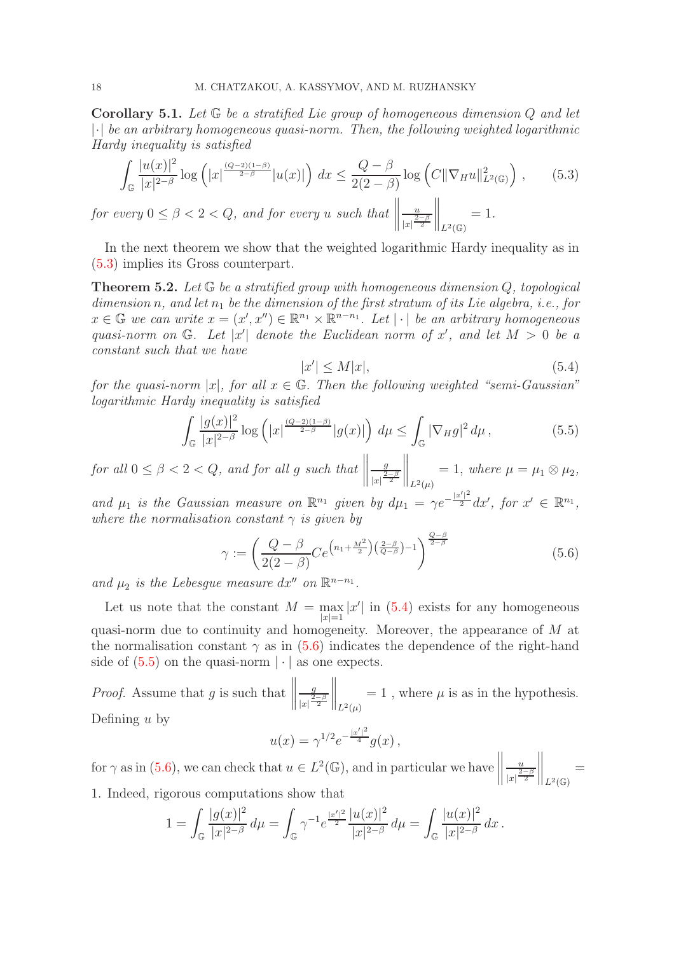Corollary 5.1. *Let* G *be a stratified Lie group of homogeneous dimension* Q *and let* |·| *be an arbitrary homogeneous quasi-norm. Then, the following weighted logarithmic Hardy inequality is satisfied*

<span id="page-17-1"></span>
$$
\int_{\mathbb{G}} \frac{|u(x)|^2}{|x|^{2-\beta}} \log\left(|x|^{\frac{(Q-2)(1-\beta)}{2-\beta}}|u(x)|\right) dx \le \frac{Q-\beta}{2(2-\beta)} \log\left(C\|\nabla_H u\|_{L^2(\mathbb{G})}^2\right),\qquad(5.3)
$$

*for every*  $0 \leq \beta < 2 < Q$ *, and for every u such that*   $\overline{u}$  $|x| \frac{2-\beta}{2}$  $\bigg\|_{L^2(\mathbb{G})}$ = 1*.*

In the next theorem we show that the weighted logarithmic Hardy inequality as in [\(5.3\)](#page-17-1) implies its Gross counterpart.

<span id="page-17-0"></span>Theorem 5.2. *Let* G *be a stratified group with homogeneous dimension* Q*, topological*  $dimension\ n, and let n_1 be the dimension of the first stratum of its Lie algebra, i.e., for$  $x \in \mathbb{G}$  we can write  $x = (x', x'') \in \mathbb{R}^{n_1} \times \mathbb{R}^{n-n_1}$ . Let  $|\cdot|$  be an arbitrary homogeneous quasi-norm on  $\mathbb{G}$ . Let  $|x'|$  denote the Euclidean norm of x', and let  $M > 0$  be a *constant such that we have*

<span id="page-17-2"></span>
$$
|x'| \le M|x|,\tag{5.4}
$$

*for the quasi-norm*  $|x|$ *, for all*  $x \in \mathbb{G}$ *. Then the following weighted "semi-Gaussian" logarithmic Hardy inequality is satisfied*

<span id="page-17-4"></span>
$$
\int_{\mathbb{G}} \frac{|g(x)|^2}{|x|^{2-\beta}} \log\left(|x|^{\frac{(Q-2)(1-\beta)}{2-\beta}} |g(x)|\right) d\mu \le \int_{\mathbb{G}} |\nabla_H g|^2 d\mu, \tag{5.5}
$$

*for all*  $0 \leq \beta < 2 < Q$ *, and for all g such that*  g  $|x| \frac{2-\beta}{2}$  $\bigg\|_{L^2(\mu)}$  $= 1, where \mu = \mu_1 \otimes \mu_2,$ 

and  $\mu_1$  *is the Gaussian measure on*  $\mathbb{R}^{n_1}$  *given by*  $d\mu_1 = \gamma e^{-\frac{|x'|^2}{2}} dx'$ , for  $x' \in \mathbb{R}^{n_1}$ , *where the normalisation constant*  $\gamma$  *is given by* 

<span id="page-17-3"></span>
$$
\gamma := \left(\frac{Q-\beta}{2(2-\beta)} Ce^{\left(n_1 + \frac{M^2}{2}\right)\left(\frac{2-\beta}{Q-\beta}\right) - 1}\right)^{\frac{Q-\beta}{2-\beta}}
$$
(5.6)

and  $\mu_2$  *is the Lebesgue measure dx'' on*  $\mathbb{R}^{n-n_1}$ *.* 

Let us note that the constant  $M = \max_{|x|=1} |x'|$  in [\(5.4\)](#page-17-2) exists for any homogeneous quasi-norm due to continuity and homogeneity. Moreover, the appearance of M at the normalisation constant  $\gamma$  as in [\(5.6\)](#page-17-3) indicates the dependence of the right-hand side of  $(5.5)$  on the quasi-norm  $|\cdot|$  as one expects.

*Proof.* Assume that g is such that  $\begin{tabular}{|c|c|c|} \hline \quad \quad & \quad \quad & \quad \quad \\ \hline \quad \quad & \quad \quad & \quad \quad \\ \hline \quad \quad & \quad \quad & \quad \quad \\ \hline \quad \quad & \quad \quad & \quad \quad \\ \hline \end{tabular}$ g  $|x|^{2-\beta}$  $\bigg\|_{L^2(\mu)}$  $= 1$ , where  $\mu$  is as in the hypothesis. Defining  $u$  by

$$
u(x) = \gamma^{1/2} e^{-\frac{|x'|^2}{4}} g(x) ,
$$

for  $\gamma$  as in [\(5.6\)](#page-17-3), we can check that  $u \in L^2(\mathbb{G})$ , and in particular we have u  $|x|^{\frac{2-\beta}{2}}$  $\bigg\|_{L^2(\mathbb{G})}$ = 1. Indeed, rigorous computations show that

$$
1 = \int_{\mathbb{G}} \frac{|g(x)|^2}{|x|^{2-\beta}} d\mu = \int_{\mathbb{G}} \gamma^{-1} e^{\frac{|x'|^2}{2}} \frac{|u(x)|^2}{|x|^{2-\beta}} d\mu = \int_{\mathbb{G}} \frac{|u(x)|^2}{|x|^{2-\beta}} dx.
$$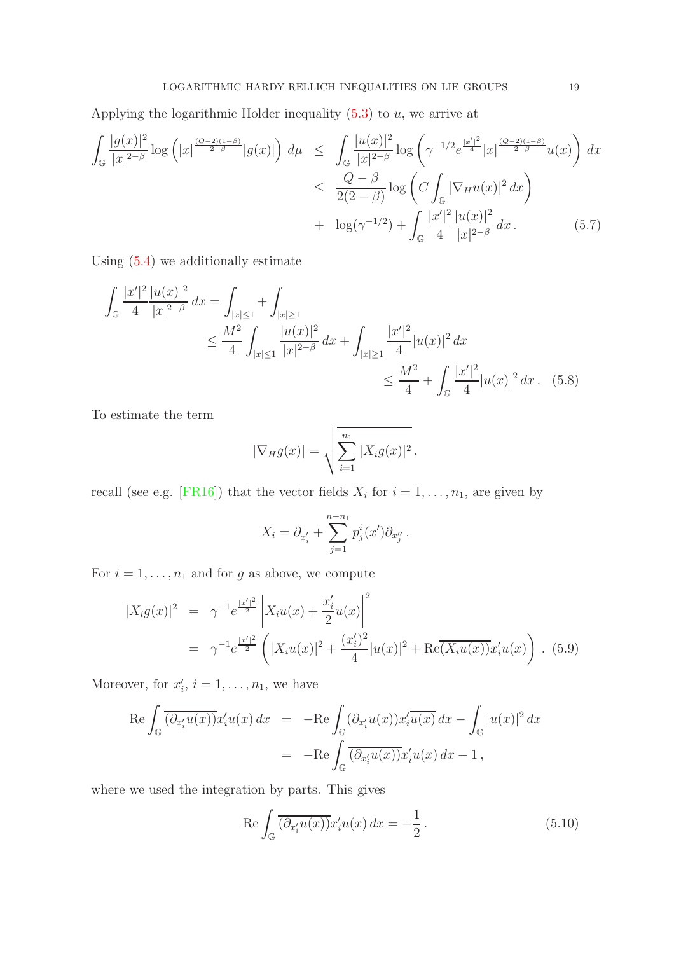Applying the logarithmic Holder inequality  $(5.3)$  to  $u$ , we arrive at

<span id="page-18-2"></span>
$$
\int_{\mathbb{G}} \frac{|g(x)|^2}{|x|^{2-\beta}} \log\left(|x|^{\frac{(Q-2)(1-\beta)}{2-\beta}}|g(x)|\right) d\mu \leq \int_{\mathbb{G}} \frac{|u(x)|^2}{|x|^{2-\beta}} \log\left(\gamma^{-1/2} e^{\frac{|x'|^2}{4}} |x|^{\frac{(Q-2)(1-\beta)}{2-\beta}} u(x)\right) dx
$$
  

$$
\leq \frac{Q-\beta}{2(2-\beta)} \log\left(C \int_{\mathbb{G}} |\nabla_H u(x)|^2 dx\right)
$$
  

$$
+ \log(\gamma^{-1/2}) + \int_{\mathbb{G}} \frac{|x'|^2}{4} \frac{|u(x)|^2}{|x|^{2-\beta}} dx. \tag{5.7}
$$

Using [\(5.4\)](#page-17-2) we additionally estimate

$$
\int_{\mathbb{G}} \frac{|x'|^2}{4} \frac{|u(x)|^2}{|x|^{2-\beta}} dx = \int_{|x|\le 1} + \int_{|x|\ge 1} + \int_{|x|\ge 1} + \int_{|x|\ge 1} + \int_{|x|\ge 1} + \int_{|x|\ge 1} + \int_{|x|\ge 1} + \int_{|x|\ge 1} + \int_{|x|\ge 1} + \int_{|x|\ge 1} + \int_{|x|\ge 1} + \int_{|x|\ge 1} + \int_{|x|\ge 1} + \int_{|x|\ge 1} + \int_{|x|\ge 1} + \int_{|x|\ge 1} + \int_{|x|\ge 1} + \int_{|x|\ge 1} + \int_{|x|\ge 1} + \int_{|x|\ge 1} + \int_{|x|\ge 1} + \int_{|x|\ge 1} + \int_{|x|\ge 1} + \int_{|x|\ge 1} + \int_{|x|\ge 1} + \int_{|x|\ge 1} + \int_{|x|\ge 1} + \int_{|x|\ge 1} + \int_{|x|\ge 1} + \int_{|x|\ge 1} + \int_{|x|\ge 1} + \int_{|x|\ge 1} + \int_{|x|\ge 1} + \int_{|x|\ge 1} + \int_{|x|\ge 1} + \int_{|x|\ge 1} + \int_{|x|\ge 1} + \int_{|x|\ge 1} + \int_{|x|\ge 1} + \int_{|x|\ge 1} + \int_{|x|\ge 1} + \int_{|x|\ge 1} + \int_{|x|\ge 1} + \int_{|x|\ge 1} + \int_{|x|\ge 1} + \int_{|x|\ge 1} + \int_{|x|\ge 1} + \int_{|x|\ge 1} + \int_{|x|\ge 1} + \int_{|x|\ge 1} + \int_{|x|\ge 1} + \int_{|x|\ge 1} + \int_{|x|\ge 1} + \int_{|x|\ge 1} + \int_{|x|\ge 1} + \int_{|x|\ge 1} + \int_{|x|\ge 1} + \int_{|x|\ge 1} + \int_{|x|\ge 1} + \int_{|x|\ge 1} + \int_{|x|\ge 1} + \int_{|x|\ge 1} + \int_{|x|\ge 1} + \int_{|x|\ge 1} + \int_{|x|\ge 1} + \int_{|x|\ge
$$

To estimate the term

<span id="page-18-3"></span>
$$
|\nabla_H g(x)| = \sqrt{\sum_{i=1}^{n_1} |X_i g(x)|^2},
$$

recall (see e.g. [\[FR16\]](#page-22-8)) that the vector fields  $X_i$  for  $i = 1, \ldots, n_1$ , are given by

$$
X_i = \partial_{x'_i} + \sum_{j=1}^{n-n_1} p_j^i(x') \partial_{x''_j}.
$$

For  $i = 1, \ldots, n_1$  and for g as above, we compute

<span id="page-18-1"></span>
$$
\begin{split} |X_i g(x)|^2 &= \gamma^{-1} e^{\frac{|x'|^2}{2}} \left| X_i u(x) + \frac{x_i'}{2} u(x) \right|^2 \\ &= \gamma^{-1} e^{\frac{|x'|^2}{2}} \left( |X_i u(x)|^2 + \frac{(x_i')^2}{4} |u(x)|^2 + \text{Re}(\overline{X_i u(x)}) x_i' u(x) \right) . \tag{5.9} \end{split}
$$

Moreover, for  $x'_i$ ,  $i = 1, \ldots, n_1$ , we have

$$
\operatorname{Re} \int_{\mathbb{G}} \overline{(\partial_{x_i'} u(x))} x_i' u(x) dx = -\operatorname{Re} \int_{\mathbb{G}} (\partial_{x_i'} u(x)) x_i' \overline{u(x)} dx - \int_{\mathbb{G}} |u(x)|^2 dx
$$
  
= 
$$
-\operatorname{Re} \int_{\mathbb{G}} \overline{(\partial_{x_i'} u(x))} x_i' u(x) dx - 1,
$$

where we used the integration by parts. This gives

<span id="page-18-0"></span>
$$
\operatorname{Re}\int_{\mathbb{G}}\overline{(\partial_{x_i'}u(x))}x_i'u(x)\,dx=-\frac{1}{2}.
$$
\n(5.10)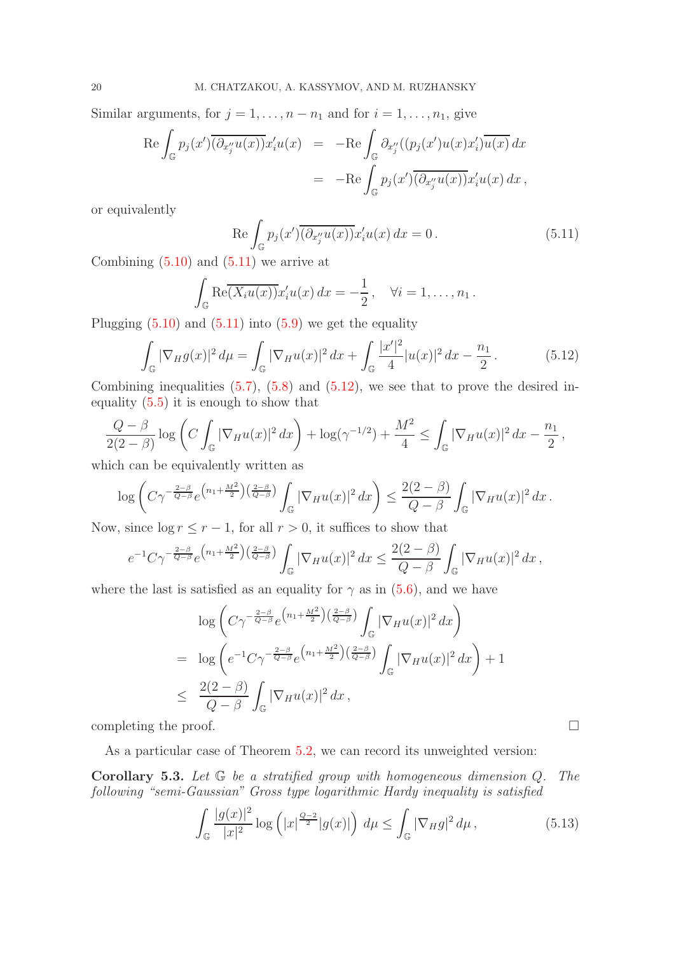Similar arguments, for  $j = 1, \ldots, n - n_1$  and for  $i = 1, \ldots, n_1$ , give

$$
\operatorname{Re} \int_{\mathbb{G}} p_j(x') \overline{(\partial_{x_j''} u(x))} x_i' u(x) = -\operatorname{Re} \int_{\mathbb{G}} \partial_{x_j''} ((p_j(x')u(x)x_i') \overline{u(x)} dx
$$
  

$$
= -\operatorname{Re} \int_{\mathbb{G}} p_j(x') \overline{(\partial_{x_j''} u(x))} x_i' u(x) dx,
$$

or equivalently

<span id="page-19-0"></span>
$$
\operatorname{Re}\int_{\mathbb{G}}p_j(x')\overline{(\partial_{x_j''}u(x))}x_i'u(x)\,dx=0\,.
$$
\n(5.11)

Combining  $(5.10)$  and  $(5.11)$  we arrive at

$$
\int_{\mathbb{G}} \text{Re}\overline{(X_i u(x))} x_i' u(x) dx = -\frac{1}{2}, \quad \forall i = 1, \dots, n_1.
$$

Plugging  $(5.10)$  and  $(5.11)$  into  $(5.9)$  we get the equality

<span id="page-19-1"></span>
$$
\int_{\mathbb{G}} |\nabla_{H} g(x)|^{2} d\mu = \int_{\mathbb{G}} |\nabla_{H} u(x)|^{2} dx + \int_{\mathbb{G}} \frac{|x'|^{2}}{4} |u(x)|^{2} dx - \frac{n_{1}}{2}.
$$
\n(5.12)

Combining inequalities  $(5.7)$ ,  $(5.8)$  and  $(5.12)$ , we see that to prove the desired inequality [\(5.5\)](#page-17-4) it is enough to show that

$$
\frac{Q-\beta}{2(2-\beta)}\log\left(C\int_{\mathbb{G}}|\nabla_H u(x)|^2\,dx\right)+\log(\gamma^{-1/2})+\frac{M^2}{4}\le\int_{\mathbb{G}}|\nabla_H u(x)|^2\,dx-\frac{n_1}{2},
$$

which can be equivalently written as

$$
\log\left(C\gamma^{-\frac{2-\beta}{Q-\beta}}e^{\left(n_1+\frac{M^2}{2}\right)\left(\frac{2-\beta}{Q-\beta}\right)}\int_{\mathbb{G}}|\nabla_Hu(x)|^2\,dx\right)\leq \frac{2(2-\beta)}{Q-\beta}\int_{\mathbb{G}}|\nabla_Hu(x)|^2\,dx.
$$

Now, since  $\log r \le r - 1$ , for all  $r > 0$ , it suffices to show that

$$
e^{-1}C\gamma^{-\frac{2-\beta}{Q-\beta}}e^{\left(n_1+\frac{M^2}{2}\right)\left(\frac{2-\beta}{Q-\beta}\right)}\int_{\mathbb{G}}|\nabla_H u(x)|^2\,dx\leq \frac{2(2-\beta)}{Q-\beta}\int_{\mathbb{G}}|\nabla_H u(x)|^2\,dx\,,
$$

where the last is satisfied as an equality for  $\gamma$  as in [\(5.6\)](#page-17-3), and we have

$$
\log\left(C\gamma^{-\frac{2-\beta}{Q-\beta}}e^{\left(n_1+\frac{M^2}{2}\right)\left(\frac{2-\beta}{Q-\beta}\right)}\int_{\mathbb{G}}|\nabla_H u(x)|^2 dx\right)
$$
  
\n
$$
= \log\left(e^{-1}C\gamma^{-\frac{2-\beta}{Q-\beta}}e^{\left(n_1+\frac{M^2}{2}\right)\left(\frac{2-\beta}{Q-\beta}\right)}\int_{\mathbb{G}}|\nabla_H u(x)|^2 dx\right) + 1
$$
  
\n
$$
\leq \frac{2(2-\beta)}{Q-\beta}\int_{\mathbb{G}}|\nabla_H u(x)|^2 dx,
$$

completing the proof.  $\Box$ 

As a particular case of Theorem [5.2,](#page-17-0) we can record its unweighted version:

Corollary 5.3. *Let* G *be a stratified group with homogeneous dimension* Q*. The following "semi-Gaussian" Gross type logarithmic Hardy inequality is satisfied*

$$
\int_{\mathbb{G}} \frac{|g(x)|^2}{|x|^2} \log\left(|x|^{\frac{Q-2}{2}}|g(x)|\right) d\mu \le \int_{\mathbb{G}} |\nabla_H g|^2 d\mu, \tag{5.13}
$$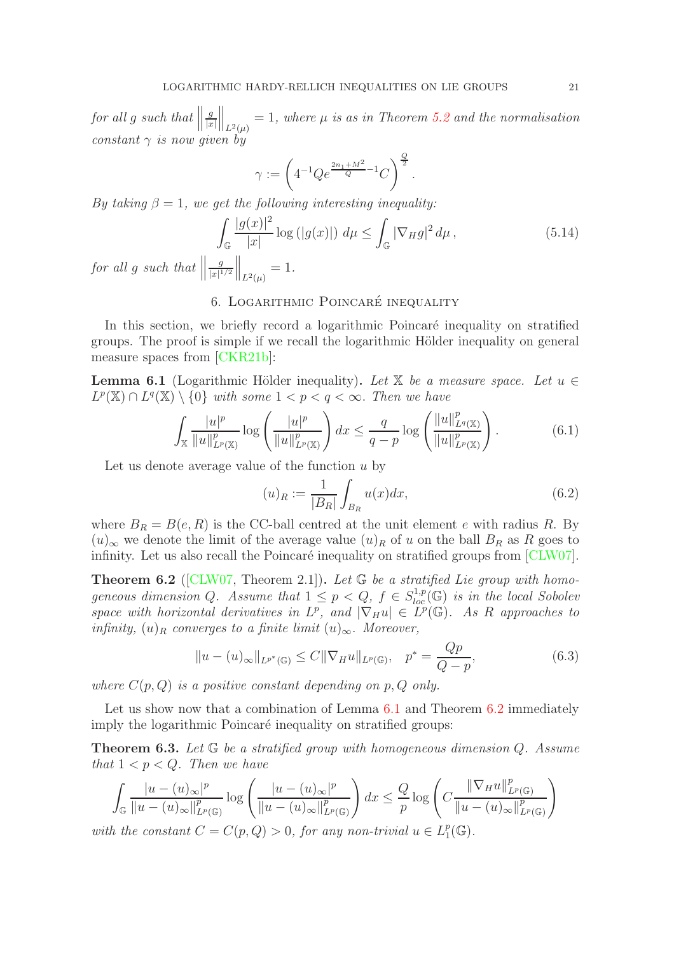$for \ all \ g \ such \ that \ \Big\|$ g  $|x|$  $\Big\|_{L^2(\mu)} = 1$ , where  $\mu$  is as in Theorem [5.2](#page-17-0) and the normalisation *constant*  $\gamma$  *is now given by* 

$$
\gamma := \left( 4^{-1} Q e^{\frac{2n_1 + M^2}{Q} - 1} C \right)^{\frac{Q}{2}}.
$$

*By taking*  $\beta = 1$ *, we get the following interesting inequality:* 

$$
\int_{\mathbb{G}} \frac{|g(x)|^2}{|x|} \log\left(|g(x)|\right) d\mu \le \int_{\mathbb{G}} |\nabla_H g|^2 d\mu,\tag{5.14}
$$

<span id="page-20-0"></span>*for all g such that*  $\parallel$ g  $\frac{g}{|x|^{1/2}}\Big\|_{L^2(\mu)}=1.$ 

## 6. LOGARITHMIC POINCARÉ INEQUALITY

In this section, we briefly record a logarithmic Poincaré inequality on stratified groups. The proof is simple if we recall the logarithmic Hölder inequality on general measure spaces from [\[CKR21b\]](#page-21-1):

<span id="page-20-1"></span>**Lemma 6.1** (Logarithmic Hölder inequality). Let  $\mathbb{X}$  be a measure space. Let  $u \in \mathbb{X}$  $L^p(\mathbb{X}) \cap L^q(\mathbb{X}) \setminus \{0\}$  with some  $1 < p < q < \infty$ . Then we have

<span id="page-20-3"></span>
$$
\int_{\mathbb{X}} \frac{|u|^p}{\|u\|_{L^p(\mathbb{X})}^p} \log \left(\frac{|u|^p}{\|u\|_{L^p(\mathbb{X})}^p}\right) dx \le \frac{q}{q-p} \log \left(\frac{\|u\|_{L^q(\mathbb{X})}^p}{\|u\|_{L^p(\mathbb{X})}^p}\right). \tag{6.1}
$$

Let us denote average value of the function  $u$  by

$$
(u)_R := \frac{1}{|B_R|} \int_{B_R} u(x) dx,
$$
\n(6.2)

where  $B_R = B(e, R)$  is the CC-ball centred at the unit element e with radius R. By  $(u)_{\infty}$  we denote the limit of the average value  $(u)_R$  of u on the ball  $B_R$  as R goes to infinity. Let us also recall the Poincaré inequality on stratified groups from  $\lbrack CLW07 \rbrack$ .

<span id="page-20-2"></span>Theorem 6.2 ([\[CLW07,](#page-21-18) Theorem 2.1]). *Let* G *be a stratified Lie group with homo*geneous dimension Q. Assume that  $1 \leq p < Q$ ,  $f \in S_{loc}^{1,p}(\mathbb{G})$  *is in the local Sobolev space with horizontal derivatives in*  $L^p$ , and  $|\nabla_H u| \in L^p(\mathbb{G})$ . As R approaches to *infinity,*  $(u)_R$  *converges to a finite limit*  $(u)_{\infty}$ *. Moreover,* 

<span id="page-20-4"></span>
$$
||u - (u)_{\infty}||_{L^{p^*}(\mathbb{G})} \le C ||\nabla_H u||_{L^p(\mathbb{G})}, \quad p^* = \frac{Qp}{Q - p},
$$
\n(6.3)

*where*  $C(p, Q)$  *is a positive constant depending on*  $p, Q$  *only.* 

Let us show now that a combination of Lemma  $6.1$  and Theorem  $6.2$  immediately imply the logarithmic Poincaré inequality on stratified groups:

Theorem 6.3. *Let* G *be a stratified group with homogeneous dimension* Q*. Assume that*  $1 < p < Q$ *. Then we have* 

$$
\int_{\mathbb{G}} \frac{|u - (u)_{\infty}|^p}{\|u - (u)_{\infty}\|_{L^p(\mathbb{G})}^p} \log \left(\frac{|u - (u)_{\infty}|^p}{\|u - (u)_{\infty}\|_{L^p(\mathbb{G})}^p}\right) dx \leq \frac{Q}{p} \log \left(C \frac{\|\nabla_H u\|_{L^p(\mathbb{G})}^p}{\|u - (u)_{\infty}\|_{L^p(\mathbb{G})}^p}\right)
$$

with the constant  $C = C(p, Q) > 0$ , for any non-trivial  $u \in L_1^p$  $_{1}^{p}(\mathbb{G}).$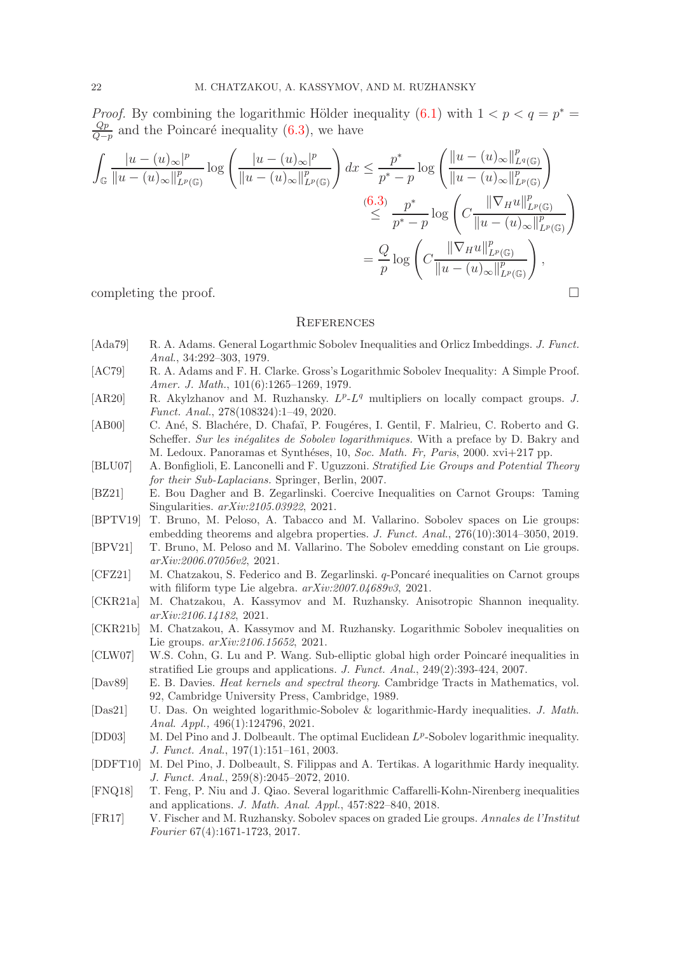*Proof.* By combining the logarithmic Hölder inequality [\(6.1\)](#page-20-3) with  $1 < p < q = p^*$  $_{Qp}$  $\frac{Qp}{Q-p}$  and the Poincaré inequality [\(6.3\)](#page-20-4), we have

$$
\int_{\mathbb{G}} \frac{|u - (u)_{\infty}|^p}{\|u - (u)_{\infty}\|_{L^p(\mathbb{G})}^p} \log \left(\frac{|u - (u)_{\infty}|^p}{\|u - (u)_{\infty}\|_{L^p(\mathbb{G})}^p}\right) dx \le \frac{p^*}{p^* - p} \log \left(\frac{\|u - (u)_{\infty}\|_{L^p(\mathbb{G})}^p}{\|u - (u)_{\infty}\|_{L^p(\mathbb{G})}^p}\right)
$$
\n
$$
\stackrel{(6.3)}{\leq} \frac{p^*}{p^* - p} \log \left(C \frac{\|\nabla_H u\|_{L^p(\mathbb{G})}^p}{\|u - (u)_{\infty}\|_{L^p(\mathbb{G})}^p}\right)
$$
\n
$$
= \frac{Q}{p} \log \left(C \frac{\|\nabla_H u\|_{L^p(\mathbb{G})}^p}{\|u - (u)_{\infty}\|_{L^p(\mathbb{G})}^p}\right),
$$
\ncompleting the proof.

### <span id="page-21-0"></span>**REFERENCES**

- <span id="page-21-4"></span>[Ada79] R. A. Adams. General Logarthmic Sobolev Inequalities and Orlicz Imbeddings. J. Funct. Anal., 34:292–303, 1979.
- <span id="page-21-5"></span>[AC79] R. A. Adams and F. H. Clarke. Gross's Logarithmic Sobolev Inequality: A Simple Proof. Amer. J. Math., 101(6):1265–1269, 1979.
- <span id="page-21-7"></span>[AR20] R. Akylzhanov and M. Ruzhansky.  $L^p$ - $L^q$  multipliers on locally compact groups. J. Funct. Anal., 278(108324):1–49, 2020.
- <span id="page-21-12"></span>[AB00] C. Ané, S. Blachére, D. Chafaï, P. Fougéres, I. Gentil, F. Malrieu, C. Roberto and G. Scheffer. Sur les inégalites de Sobolev logarithmiques. With a preface by D. Bakry and M. Ledoux. Panoramas et Synthéses, 10, Soc. Math. Fr, Paris, 2000. xvi+217 pp.
- <span id="page-21-17"></span>[BLU07] A. Bonfiglioli, E. Lanconelli and F. Uguzzoni. Stratified Lie Groups and Potential Theory for their Sub-Laplacians. Springer, Berlin, 2007.
- <span id="page-21-13"></span>[BZ21] E. Bou Dagher and B. Zegarlinski. Coercive Inequalities on Carnot Groups: Taming Singularities. arXiv:2105.03922, 2021.
- <span id="page-21-8"></span>[BPTV19] T. Bruno, M. Peloso, A. Tabacco and M. Vallarino. Sobolev spaces on Lie groups: embedding theorems and algebra properties. J. Funct. Anal., 276(10):3014–3050, 2019.
- <span id="page-21-9"></span>[BPV21] T. Bruno, M. Peloso and M. Vallarino. The Sobolev emedding constant on Lie groups. arXiv:2006.07056v2, 2021.
- <span id="page-21-14"></span> $[CFZ21]$  M. Chatzakou, S. Federico and B. Zegarlinski. *q*-Poncaré inequalities on Carnot groups with filiform type Lie algebra.  $arXiv:2007.04689v3$ , 2021.
- <span id="page-21-15"></span>[CKR21a] M. Chatzakou, A. Kassymov and M. Ruzhansky. Anisotropic Shannon inequality. arXiv:2106.14182, 2021.
- <span id="page-21-1"></span>[CKR21b] M. Chatzakou, A. Kassymov and M. Ruzhansky. Logarithmic Sobolev inequalities on Lie groups. arXiv:2106.15652, 2021.
- <span id="page-21-18"></span>[CLW07] W.S. Cohn, G. Lu and P. Wang. Sub-elliptic global high order Poincaré inequalities in stratified Lie groups and applications. J. Funct. Anal., 249(2):393-424, 2007.
- <span id="page-21-6"></span>[Dav89] E. B. Davies. Heat kernels and spectral theory. Cambridge Tracts in Mathematics, vol. 92, Cambridge University Press, Cambridge, 1989.
- <span id="page-21-11"></span>[Das21] U. Das. On weighted logarithmic-Sobolev & logarithmic-Hardy inequalities. J. Math. Anal. Appl., 496(1):124796, 2021.
- <span id="page-21-3"></span>[DD03] M. Del Pino and J. Dolbeault. The optimal Euclidean  $L^p$ -Sobolev logarithmic inequality. J. Funct. Anal., 197(1):151–161, 2003.
- <span id="page-21-2"></span>[DDFT10] M. Del Pino, J. Dolbeault, S. Filippas and A. Tertikas. A logarithmic Hardy inequality. J. Funct. Anal., 259(8):2045–2072, 2010.
- <span id="page-21-16"></span>[FNQ18] T. Feng, P. Niu and J. Qiao. Several logarithmic Caffarelli-Kohn-Nirenberg inequalities and applications. J. Math. Anal. Appl., 457:822–840, 2018.
- <span id="page-21-10"></span>[FR17] V. Fischer and M. Ruzhansky. Sobolev spaces on graded Lie groups. Annales de l'Institut Fourier 67(4):1671-1723, 2017.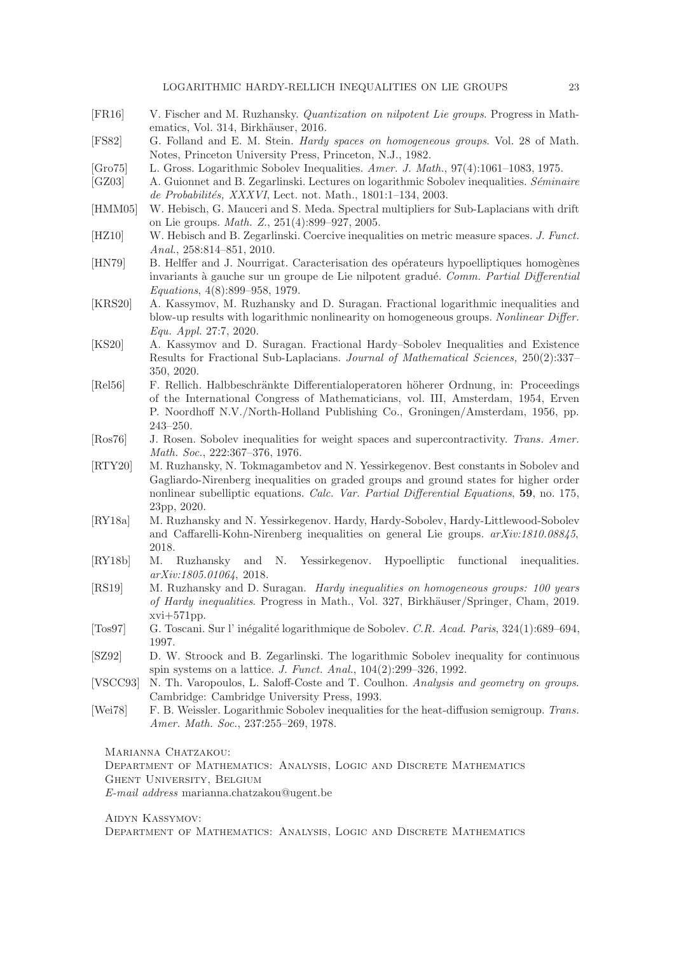LOGARITHMIC HARDY-RELLICH INEQUALITIES ON LIE GROUPS 23

- <span id="page-22-8"></span>[FR16] V. Fischer and M. Ruzhansky. Quantization on nilpotent Lie groups. Progress in Mathematics, Vol. 314, Birkhäuser, 2016.
- <span id="page-22-14"></span>[FS82] G. Folland and E. M. Stein. Hardy spaces on homogeneous groups. Vol. 28 of Math. Notes, Princeton University Press, Princeton, N.J., 1982.
- <span id="page-22-0"></span>[Gro75] L. Gross. Logarithmic Sobolev Inequalities. Amer. J. Math., 97(4):1061–1083, 1975.
- <span id="page-22-11"></span>[GZ03] A. Guionnet and B. Zegarlinski. Lectures on logarithmic Sobolev inequalities. Séminaire de Probabilités, XXXVI, Lect. not. Math., 1801:1-134, 2003.
- <span id="page-22-15"></span>[HMM05] W. Hebisch, G. Mauceri and S. Meda. Spectral multipliers for Sub-Laplacians with drift on Lie groups. Math. Z., 251(4):899–927, 2005.
- <span id="page-22-12"></span>[HZ10] W. Hebisch and B. Zegarlinski. Coercive inequalities on metric measure spaces. J. Funct. Anal., 258:814–851, 2010.
- <span id="page-22-17"></span>[HN79] B. Helffer and J. Nourrigat. Caracterisation des opérateurs hypoelliptiques homogènes invariants à gauche sur un groupe de Lie nilpotent gradué. Comm. Partial Differential Equations, 4(8):899–958, 1979.
- <span id="page-22-13"></span>[KRS20] A. Kassymov, M. Ruzhansky and D. Suragan. Fractional logarithmic inequalities and blow-up results with logarithmic nonlinearity on homogeneous groups. Nonlinear Differ. Equ. Appl. 27:7, 2020.
- <span id="page-22-16"></span>[KS20] A. Kassymov and D. Suragan. Fractional Hardy–Sobolev Inequalities and Existence Results for Fractional Sub-Laplacians. Journal of Mathematical Sciences, 250(2):337– 350, 2020.
- <span id="page-22-3"></span>[Rel56] F. Rellich. Halbbeschr¨ankte Differentialoperatoren h¨oherer Ordnung, in: Proceedings of the International Congress of Mathematicians, vol. III, Amsterdam, 1954, Erven P. Noordhoff N.V./North-Holland Publishing Co., Groningen/Amsterdam, 1956, pp. 243–250.
- <span id="page-22-4"></span>[Ros76] J. Rosen. Sobolev inequalities for weight spaces and supercontractivity. Trans. Amer. Math. Soc., 222:367–376, 1976.
- <span id="page-22-9"></span>[RTY20] M. Ruzhansky, N. Tokmagambetov and N. Yessirkegenov. Best constants in Sobolev and Gagliardo-Nirenberg inequalities on graded groups and ground states for higher order nonlinear subelliptic equations. Calc. Var. Partial Differential Equations, 59, no. 175, 23pp, 2020.
- <span id="page-22-10"></span>[RY18a] M. Ruzhansky and N. Yessirkegenov. Hardy, Hardy-Sobolev, Hardy-Littlewood-Sobolev and Caffarelli-Kohn-Nirenberg inequalities on general Lie groups. arXiv:1810.08845, 2018.
- <span id="page-22-18"></span>[RY18b] M. Ruzhansky and N. Yessirkegenov. Hypoelliptic functional inequalities. arXiv:1805.01064, 2018.
- <span id="page-22-2"></span>[RS19] M. Ruzhansky and D. Suragan. Hardy inequalities on homogeneous groups: 100 years of Hardy inequalities. Progress in Math., Vol. 327, Birkhäuser/Springer, Cham, 2019. xvi+571pp.
- <span id="page-22-5"></span>[Tos97] G. Toscani. Sur l' in´egalit´e logarithmique de Sobolev. C.R. Acad. Paris, 324(1):689–694, 1997.
- <span id="page-22-6"></span>[SZ92] D. W. Stroock and B. Zegarlinski. The logarithmic Sobolev inequality for continuous spin systems on a lattice. J. Funct. Anal., 104(2):299–326, 1992.
- <span id="page-22-7"></span>[VSCC93] N. Th. Varopoulos, L. Saloff-Coste and T. Coulhon. Analysis and geometry on groups. Cambridge: Cambridge University Press, 1993.
- <span id="page-22-1"></span>[Wei78] F. B. Weissler. Logarithmic Sobolev inequalities for the heat-diffusion semigroup. Trans. Amer. Math. Soc., 237:255-269, 1978.

MARIANNA CHATZAKOU:

Department of Mathematics: Analysis, Logic and Discrete Mathematics Ghent University, Belgium

E-mail address marianna.chatzakou@ugent.be

Aidyn Kassymov:

Department of Mathematics: Analysis, Logic and Discrete Mathematics